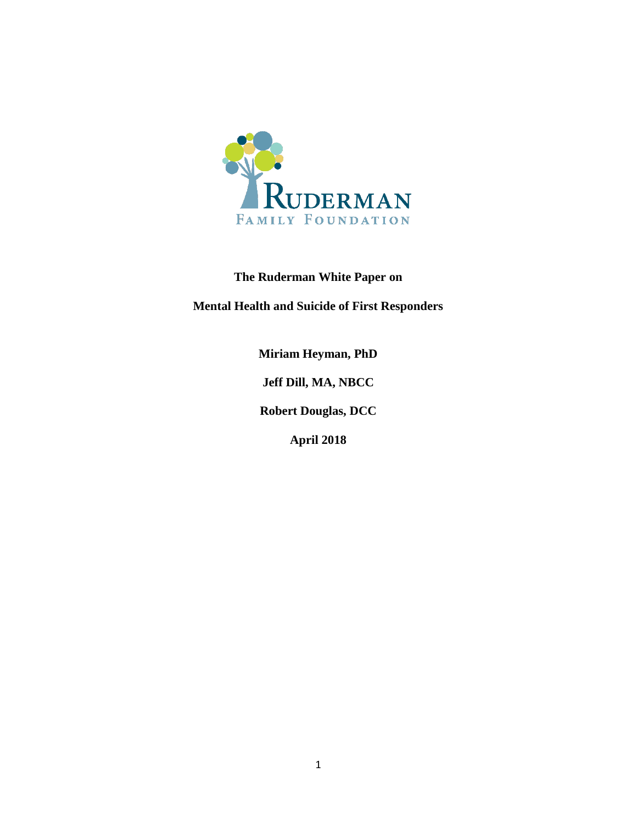

# **The Ruderman White Paper on Mental Health and Suicide of First Responders**

**Miriam Heyman, PhD**

**Jeff Dill, MA, NBCC**

**Robert Douglas, DCC**

**April 2018**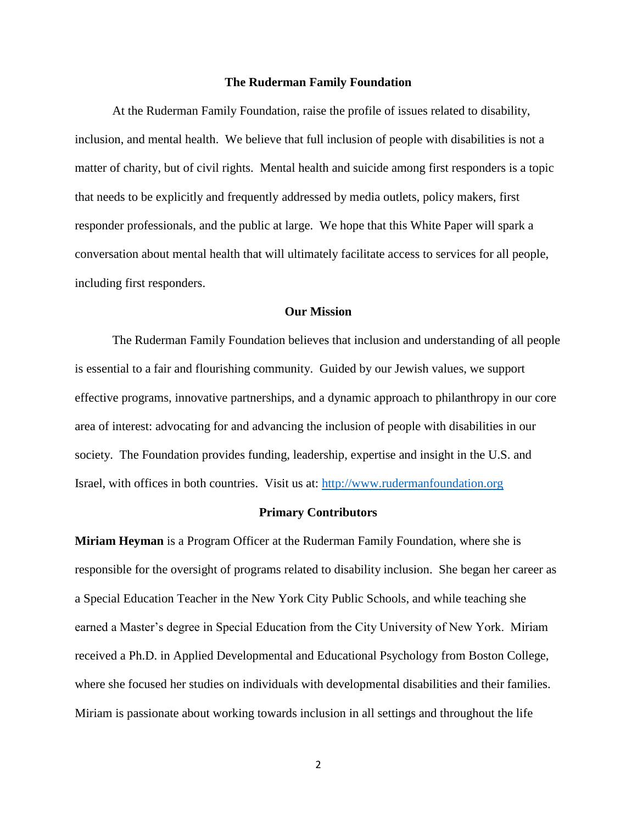## **The Ruderman Family Foundation**

At the Ruderman Family Foundation, raise the profile of issues related to disability, inclusion, and mental health. We believe that full inclusion of people with disabilities is not a matter of charity, but of civil rights. Mental health and suicide among first responders is a topic that needs to be explicitly and frequently addressed by media outlets, policy makers, first responder professionals, and the public at large. We hope that this White Paper will spark a conversation about mental health that will ultimately facilitate access to services for all people, including first responders.

## **Our Mission**

The Ruderman Family Foundation believes that inclusion and understanding of all people is essential to a fair and flourishing community. Guided by our Jewish values, we support effective programs, innovative partnerships, and a dynamic approach to philanthropy in our core area of interest: advocating for and advancing the inclusion of people with disabilities in our society. The Foundation provides funding, leadership, expertise and insight in the U.S. and Israel, with offices in both countries. Visit us at: [http://www.rudermanfoundation.org](http://www.rudermanfoundation.org/)

### **Primary Contributors**

**Miriam Heyman** is a Program Officer at the Ruderman Family Foundation, where she is responsible for the oversight of programs related to disability inclusion. She began her career as a Special Education Teacher in the New York City Public Schools, and while teaching she earned a Master's degree in Special Education from the City University of New York. Miriam received a Ph.D. in Applied Developmental and Educational Psychology from Boston College, where she focused her studies on individuals with developmental disabilities and their families. Miriam is passionate about working towards inclusion in all settings and throughout the life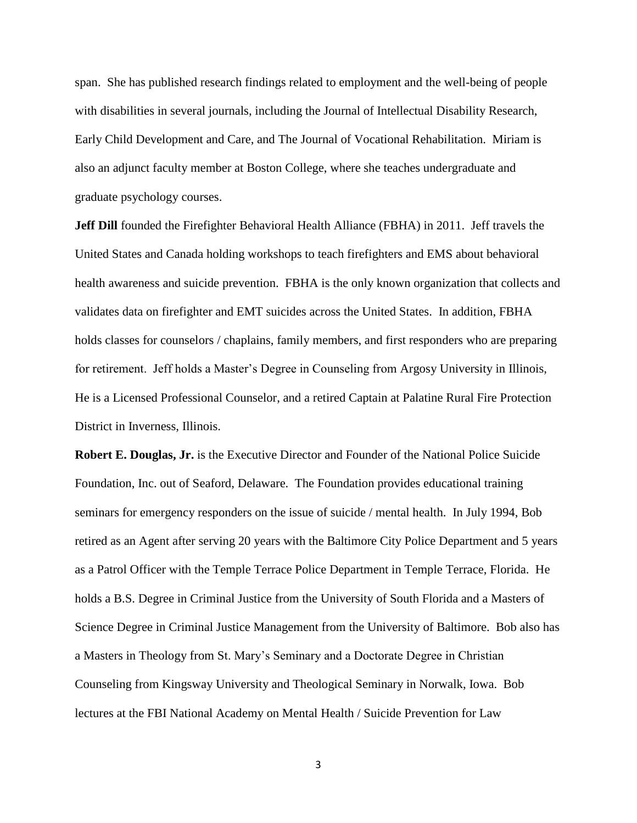span. She has published research findings related to employment and the well-being of people with disabilities in several journals, including the Journal of Intellectual Disability Research, Early Child Development and Care, and The Journal of Vocational Rehabilitation. Miriam is also an adjunct faculty member at Boston College, where she teaches undergraduate and graduate psychology courses.

**Jeff Dill** founded the Firefighter Behavioral Health Alliance (FBHA) in 2011. Jeff travels the United States and Canada holding workshops to teach firefighters and EMS about behavioral health awareness and suicide prevention. FBHA is the only known organization that collects and validates data on firefighter and EMT suicides across the United States. In addition, FBHA holds classes for counselors / chaplains, family members, and first responders who are preparing for retirement. Jeff holds a Master's Degree in Counseling from Argosy University in Illinois, He is a Licensed Professional Counselor, and a retired Captain at Palatine Rural Fire Protection District in Inverness, Illinois.

**Robert E. Douglas, Jr.** is the Executive Director and Founder of the National Police Suicide Foundation, Inc. out of Seaford, Delaware. The Foundation provides educational training seminars for emergency responders on the issue of suicide / mental health. In July 1994, Bob retired as an Agent after serving 20 years with the Baltimore City Police Department and 5 years as a Patrol Officer with the Temple Terrace Police Department in Temple Terrace, Florida. He holds a B.S. Degree in Criminal Justice from the University of South Florida and a Masters of Science Degree in Criminal Justice Management from the University of Baltimore. Bob also has a Masters in Theology from St. Mary's Seminary and a Doctorate Degree in Christian Counseling from Kingsway University and Theological Seminary in Norwalk, Iowa. Bob lectures at the FBI National Academy on Mental Health / Suicide Prevention for Law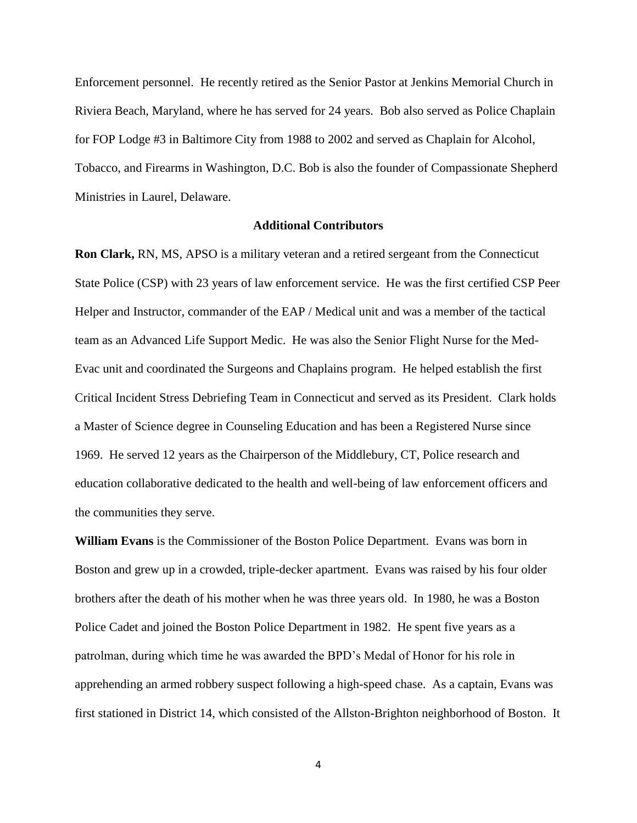Enforcement personnel. He recently retired as the Senior Pastor at Jenkins Memorial Church in Riviera Beach, Maryland, where he has served for 24 years. Bob also served as Police Chaplain for FOP Lodge #3 in Baltimore City from 1988 to 2002 and served as Chaplain for Alcohol, Tobacco, and Firearms in Washington, D.C. Bob is also the founder of Compassionate Shepherd Ministries in Laurel, Delaware.

# **Additional Contributors**

**Ron Clark,** RN, MS, APSO is a military veteran and a retired sergeant from the Connecticut State Police (CSP) with 23 years of law enforcement service. He was the first certified CSP Peer Helper and Instructor, commander of the EAP / Medical unit and was a member of the tactical team as an Advanced Life Support Medic. He was also the Senior Flight Nurse for the Med-Evac unit and coordinated the Surgeons and Chaplains program. He helped establish the first Critical Incident Stress Debriefing Team in Connecticut and served as its President. Clark holds a Master of Science degree in Counseling Education and has been a Registered Nurse since 1969. He served 12 years as the Chairperson of the Middlebury, CT, Police research and education collaborative dedicated to the health and well-being of law enforcement officers and the communities they serve.

**William Evans** is the Commissioner of the Boston Police Department. Evans was born in Boston and grew up in a crowded, triple-decker apartment. Evans was raised by his four older brothers after the death of his mother when he was three years old. In 1980, he was a Boston Police Cadet and joined the Boston Police Department in 1982. He spent five years as a patrolman, during which time he was awarded the BPD's Medal of Honor for his role in apprehending an armed robbery suspect following a high-speed chase. As a captain, Evans was first stationed in District 14, which consisted of the Allston-Brighton neighborhood of Boston. It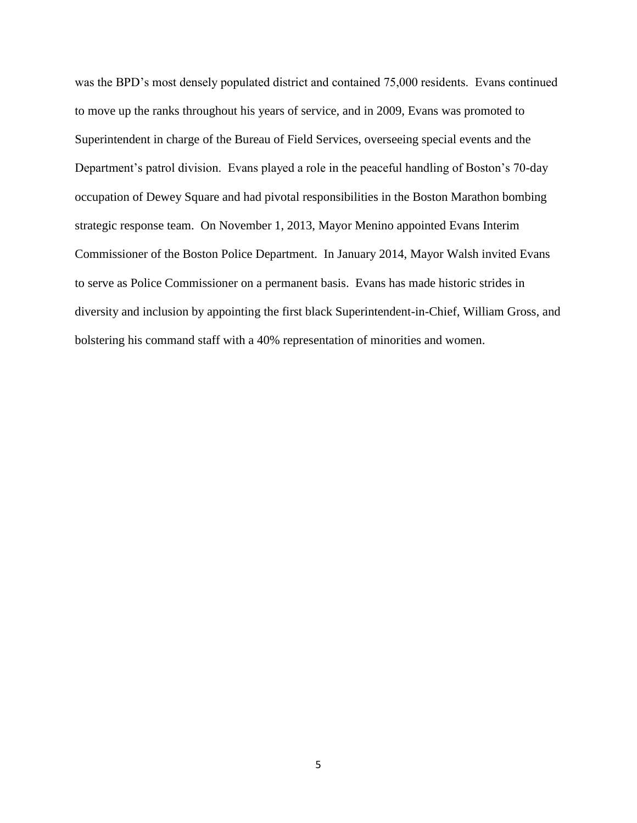was the BPD's most densely populated district and contained 75,000 residents. Evans continued to move up the ranks throughout his years of service, and in 2009, Evans was promoted to Superintendent in charge of the Bureau of Field Services, overseeing special events and the Department's patrol division. Evans played a role in the peaceful handling of Boston's 70-day occupation of Dewey Square and had pivotal responsibilities in the Boston Marathon bombing strategic response team. On November 1, 2013, Mayor Menino appointed Evans Interim Commissioner of the Boston Police Department. In January 2014, Mayor Walsh invited Evans to serve as Police Commissioner on a permanent basis. Evans has made historic strides in diversity and inclusion by appointing the first black Superintendent-in-Chief, William Gross, and bolstering his command staff with a 40% representation of minorities and women.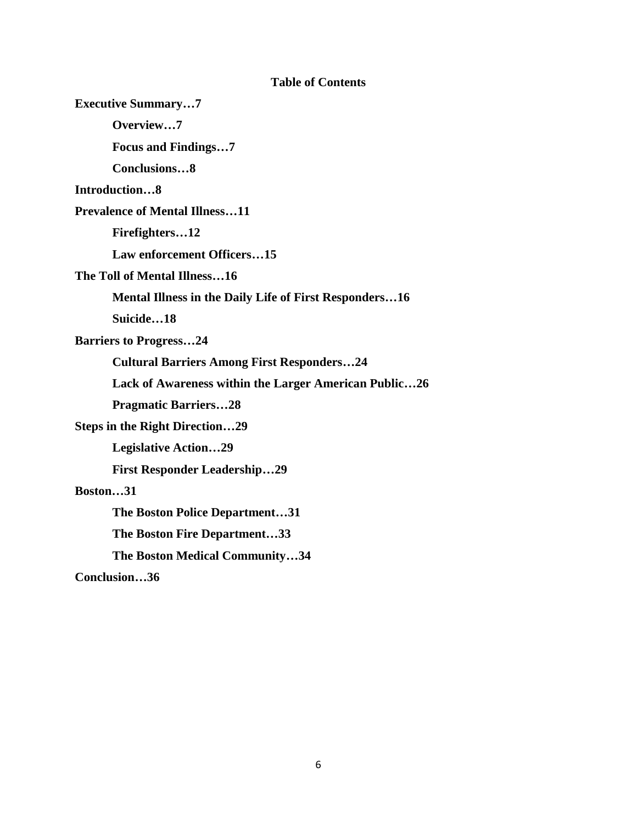# **Table of Contents**

**Executive Summary…7 Overview…7 Focus and Findings…7 Conclusions…8 Introduction…8 Prevalence of Mental Illness…11 Firefighters…12 Law enforcement Officers…15 The Toll of Mental Illness…16 Mental Illness in the Daily Life of First Responders…16 Suicide…18 Barriers to Progress…24 Cultural Barriers Among First Responders…24 Lack of Awareness within the Larger American Public…26 Pragmatic Barriers…28 Steps in the Right Direction…29 Legislative Action…29 First Responder Leadership…29 Boston…31 The Boston Police Department…31 The Boston Fire Department…33 The Boston Medical Community…34 Conclusion…36**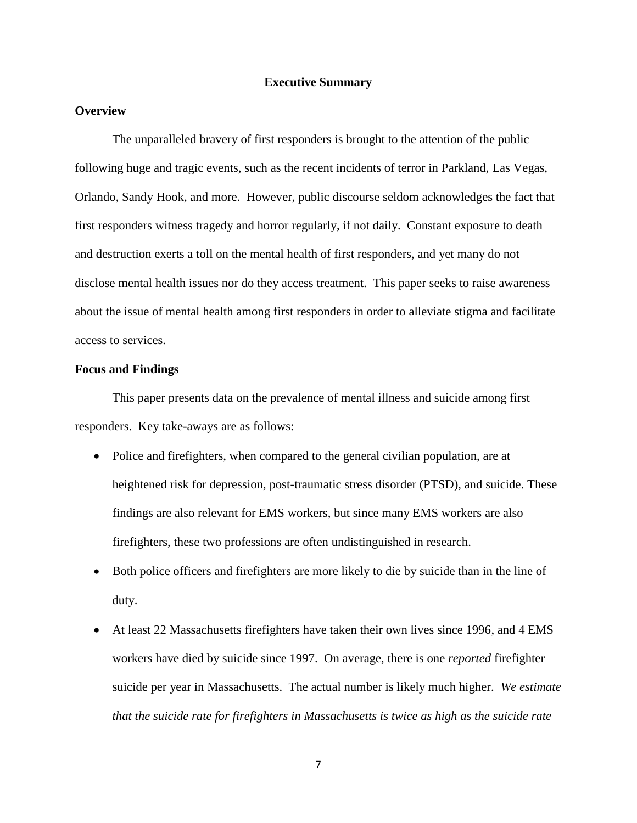## **Executive Summary**

# **Overview**

The unparalleled bravery of first responders is brought to the attention of the public following huge and tragic events, such as the recent incidents of terror in Parkland, Las Vegas, Orlando, Sandy Hook, and more. However, public discourse seldom acknowledges the fact that first responders witness tragedy and horror regularly, if not daily. Constant exposure to death and destruction exerts a toll on the mental health of first responders, and yet many do not disclose mental health issues nor do they access treatment. This paper seeks to raise awareness about the issue of mental health among first responders in order to alleviate stigma and facilitate access to services.

## **Focus and Findings**

This paper presents data on the prevalence of mental illness and suicide among first responders. Key take-aways are as follows:

- Police and firefighters, when compared to the general civilian population, are at heightened risk for depression, post-traumatic stress disorder (PTSD), and suicide. These findings are also relevant for EMS workers, but since many EMS workers are also firefighters, these two professions are often undistinguished in research.
- Both police officers and firefighters are more likely to die by suicide than in the line of duty.
- At least 22 Massachusetts firefighters have taken their own lives since 1996, and 4 EMS workers have died by suicide since 1997. On average, there is one *reported* firefighter suicide per year in Massachusetts. The actual number is likely much higher. *We estimate that the suicide rate for firefighters in Massachusetts is twice as high as the suicide rate*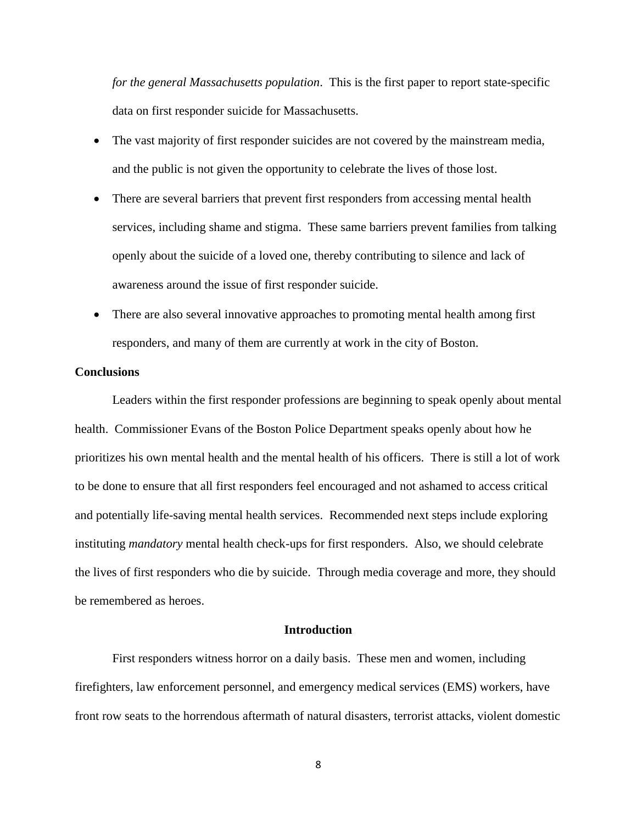*for the general Massachusetts population*. This is the first paper to report state-specific data on first responder suicide for Massachusetts.

- The vast majority of first responder suicides are not covered by the mainstream media, and the public is not given the opportunity to celebrate the lives of those lost.
- There are several barriers that prevent first responders from accessing mental health services, including shame and stigma. These same barriers prevent families from talking openly about the suicide of a loved one, thereby contributing to silence and lack of awareness around the issue of first responder suicide.
- There are also several innovative approaches to promoting mental health among first responders, and many of them are currently at work in the city of Boston.

## **Conclusions**

Leaders within the first responder professions are beginning to speak openly about mental health. Commissioner Evans of the Boston Police Department speaks openly about how he prioritizes his own mental health and the mental health of his officers. There is still a lot of work to be done to ensure that all first responders feel encouraged and not ashamed to access critical and potentially life-saving mental health services. Recommended next steps include exploring instituting *mandatory* mental health check-ups for first responders. Also, we should celebrate the lives of first responders who die by suicide. Through media coverage and more, they should be remembered as heroes.

## **Introduction**

First responders witness horror on a daily basis. These men and women, including firefighters, law enforcement personnel, and emergency medical services (EMS) workers, have front row seats to the horrendous aftermath of natural disasters, terrorist attacks, violent domestic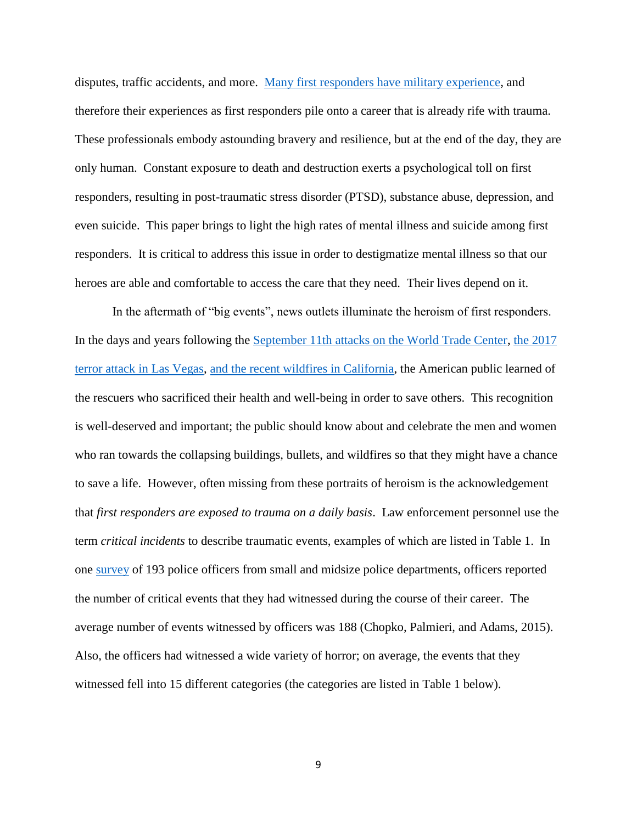disputes, traffic accidents, and more. [Many first responders have military experience,](https://www.themarshallproject.org/2017/03/30/when-warriors-put-on-the-badge) and therefore their experiences as first responders pile onto a career that is already rife with trauma. These professionals embody astounding bravery and resilience, but at the end of the day, they are only human. Constant exposure to death and destruction exerts a psychological toll on first responders, resulting in post-traumatic stress disorder (PTSD), substance abuse, depression, and even suicide. This paper brings to light the high rates of mental illness and suicide among first responders. It is critical to address this issue in order to destigmatize mental illness so that our heroes are able and comfortable to access the care that they need. Their lives depend on it.

In the aftermath of "big events", news outlets illuminate the heroism of first responders. In the days and years following the September 11th [attacks on the World Trade Center,](http://www.nydailynews.com/new-york/queens/9-11-responder-acts-hero-15-years-article-1.2789251) [the 2017](https://www.ktnv.com/news/first-responders-tell-stories-of-heroism)  [terror attack in Las Vegas,](https://www.ktnv.com/news/first-responders-tell-stories-of-heroism) [and the recent wildfires in California,](https://www.nbcnews.com/nightly-news/video/ca-wildfire-firefighters-lose-homes-while-saving-others-1072165443756) the American public learned of the rescuers who sacrificed their health and well-being in order to save others. This recognition is well-deserved and important; the public should know about and celebrate the men and women who ran towards the collapsing buildings, bullets, and wildfires so that they might have a chance to save a life. However, often missing from these portraits of heroism is the acknowledgement that *first responders are exposed to trauma on a daily basis*. Law enforcement personnel use the term *critical incidents* to describe traumatic events, examples of which are listed in Table 1. In one [survey](https://www.ncbi.nlm.nih.gov/pubmed/25808672) of 193 police officers from small and midsize police departments, officers reported the number of critical events that they had witnessed during the course of their career. The average number of events witnessed by officers was 188 (Chopko, Palmieri, and Adams, 2015). Also, the officers had witnessed a wide variety of horror; on average, the events that they witnessed fell into 15 different categories (the categories are listed in Table 1 below).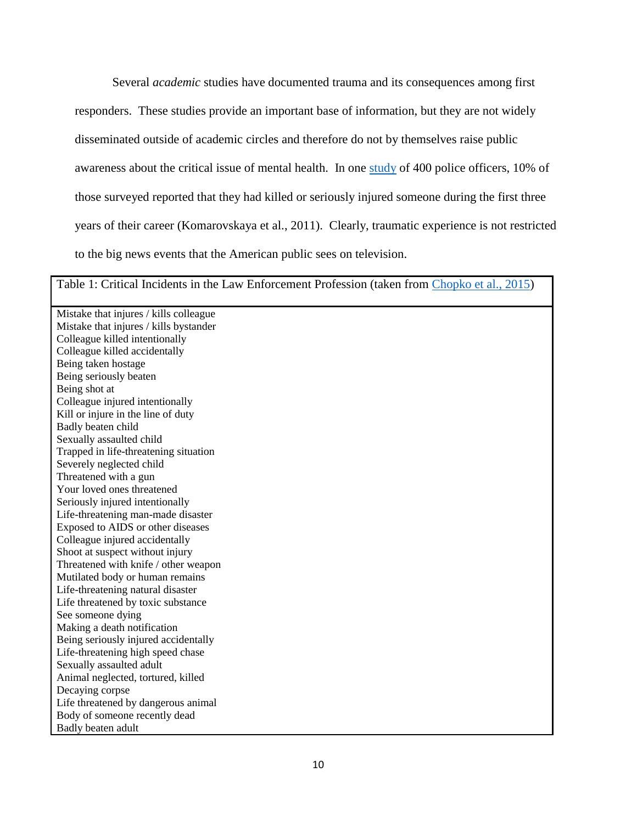Several *academic* studies have documented trauma and its consequences among first responders. These studies provide an important base of information, but they are not widely disseminated outside of academic circles and therefore do not by themselves raise public awareness about the critical issue of mental health. In one [study](https://www.ncbi.nlm.nih.gov/pubmed/21658717) of 400 police officers, 10% of those surveyed reported that they had killed or seriously injured someone during the first three years of their career (Komarovskaya et al., 2011). Clearly, traumatic experience is not restricted to the big news events that the American public sees on television.

Table 1: Critical Incidents in the Law Enforcement Profession (taken from [Chopko et al., 2015\)](https://www.ncbi.nlm.nih.gov/pubmed/25808672)

Mistake that injures / kills colleague Mistake that injures / kills bystander Colleague killed intentionally Colleague killed accidentally Being taken hostage Being seriously beaten Being shot at Colleague injured intentionally Kill or injure in the line of duty Badly beaten child Sexually assaulted child Trapped in life-threatening situation Severely neglected child Threatened with a gun Your loved ones threatened Seriously injured intentionally Life-threatening man-made disaster Exposed to AIDS or other diseases Colleague injured accidentally Shoot at suspect without injury Threatened with knife / other weapon Mutilated body or human remains Life-threatening natural disaster Life threatened by toxic substance See someone dying Making a death notification Being seriously injured accidentally Life-threatening high speed chase Sexually assaulted adult Animal neglected, tortured, killed Decaying corpse Life threatened by dangerous animal Body of someone recently dead Badly beaten adult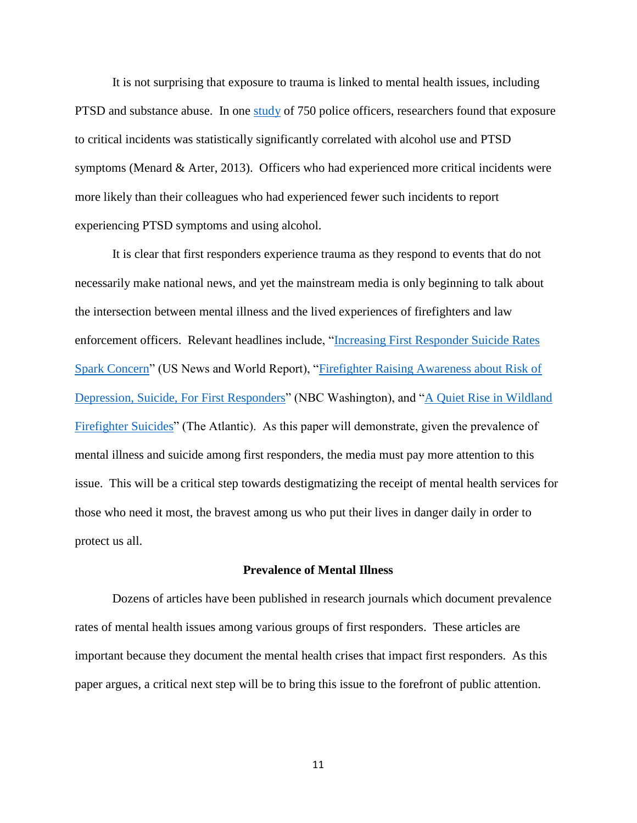It is not surprising that exposure to trauma is linked to mental health issues, including PTSD and substance abuse. In one [study](http://psycnet.apa.org/doiLanding?doi=10.1037%2Fa0031434) of 750 police officers, researchers found that exposure to critical incidents was statistically significantly correlated with alcohol use and PTSD symptoms (Menard & Arter, 2013). Officers who had experienced more critical incidents were more likely than their colleagues who had experienced fewer such incidents to report experiencing PTSD symptoms and using alcohol.

It is clear that first responders experience trauma as they respond to events that do not necessarily make national news, and yet the mainstream media is only beginning to talk about the intersection between mental illness and the lived experiences of firefighters and law enforcement officers. Relevant headlines include, ["Increasing First Responder Suicide Rates](https://www.usnews.com/news/best-states/pennsylvania/articles/2017-03-25/increasing-first-responder-suicide-rates-spark-concern)  [Spark Concern"](https://www.usnews.com/news/best-states/pennsylvania/articles/2017-03-25/increasing-first-responder-suicide-rates-spark-concern) (US News and World Report), ["Firefighter Raising Awareness about Risk of](https://www.nbcwashington.com/news/health/Firefighter-Raising-Awareness-About-Risk-of-Depression-Suicide-for-First-Responders-430000343.html)  [Depression, Suicide, For First Responders"](https://www.nbcwashington.com/news/health/Firefighter-Raising-Awareness-About-Risk-of-Depression-Suicide-for-First-Responders-430000343.html) (NBC Washington), and ["A Quiet Rise in Wildland](https://www.theatlantic.com/health/archive/2017/10/wildland-firefighter-suicide/544298/)  [Firefighter Suicides"](https://www.theatlantic.com/health/archive/2017/10/wildland-firefighter-suicide/544298/) (The Atlantic). As this paper will demonstrate, given the prevalence of mental illness and suicide among first responders, the media must pay more attention to this issue. This will be a critical step towards destigmatizing the receipt of mental health services for those who need it most, the bravest among us who put their lives in danger daily in order to protect us all.

#### **Prevalence of Mental Illness**

Dozens of articles have been published in research journals which document prevalence rates of mental health issues among various groups of first responders. These articles are important because they document the mental health crises that impact first responders. As this paper argues, a critical next step will be to bring this issue to the forefront of public attention.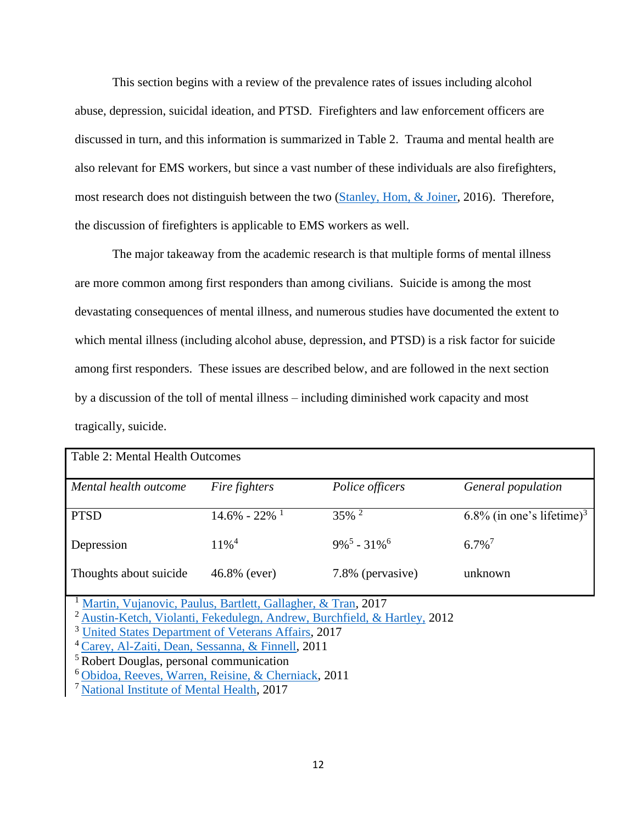This section begins with a review of the prevalence rates of issues including alcohol abuse, depression, suicidal ideation, and PTSD. Firefighters and law enforcement officers are discussed in turn, and this information is summarized in Table 2. Trauma and mental health are also relevant for EMS workers, but since a vast number of these individuals are also firefighters, most research does not distinguish between the two [\(Stanley, Hom,](https://www.ncbi.nlm.nih.gov/pubmed/26719976) & Joiner, 2016). Therefore, the discussion of firefighters is applicable to EMS workers as well.

The major takeaway from the academic research is that multiple forms of mental illness are more common among first responders than among civilians. Suicide is among the most devastating consequences of mental illness, and numerous studies have documented the extent to which mental illness (including alcohol abuse, depression, and PTSD) is a risk factor for suicide among first responders. These issues are described below, and are followed in the next section by a discussion of the toll of mental illness – including diminished work capacity and most tragically, suicide.

| Table 2: Mental Health Outcomes |                              |                                       |                                       |  |
|---------------------------------|------------------------------|---------------------------------------|---------------------------------------|--|
|                                 |                              |                                       |                                       |  |
| Mental health outcome           | Fire fighters                | Police officers                       | General population                    |  |
|                                 |                              |                                       |                                       |  |
| <b>PTSD</b>                     | $14.6\% - 22\%$ <sup>1</sup> | $35\%$ <sup>2</sup>                   | 6.8% (in one's lifetime) <sup>3</sup> |  |
|                                 |                              |                                       |                                       |  |
| Depression                      | $11\%$ <sup>4</sup>          | $9\%$ <sup>5</sup> - 31% <sup>6</sup> | $6.7\%$ <sup>7</sup>                  |  |
|                                 |                              |                                       |                                       |  |
| Thoughts about suicide          | 46.8% (ever)                 | 7.8% (pervasive)                      | unknown                               |  |
|                                 |                              |                                       |                                       |  |

<sup>1</sup> [Martin, Vujanovic, Paulus, Bartlett, Gallagher, & Tran,](https://www.ncbi.nlm.nih.gov/pubmed/28092775) 2017

<sup>2</sup> [Austin-Ketch, Violanti, Fekedulegn, Andrew, Burchfield, & Hartley,](https://www.ncbi.nlm.nih.gov/pubmed/22468657) 2012

<sup>3</sup> [United States Department of Veterans Affairs,](https://www.ptsd.va.gov/professional/PTSD-overview/epidemiological-facts-ptsd.asp) 2017

<sup>4</sup>[Carey, Al-Zaiti, Dean, Sessanna, & Finnell,](https://www.ncbi.nlm.nih.gov/pubmed/21785370) 2011

<sup>5</sup> Robert Douglas, personal communication

<sup>6</sup>[Obidoa, Reeves, Warren, Reisine, & Cherniack,](https://www.ncbi.nlm.nih.gov/pubmed/22005395) 2011

<sup>7</sup>[National Institute of Mental Health,](https://www.nimh.nih.gov/health/statistics/major-depression.shtml) 2017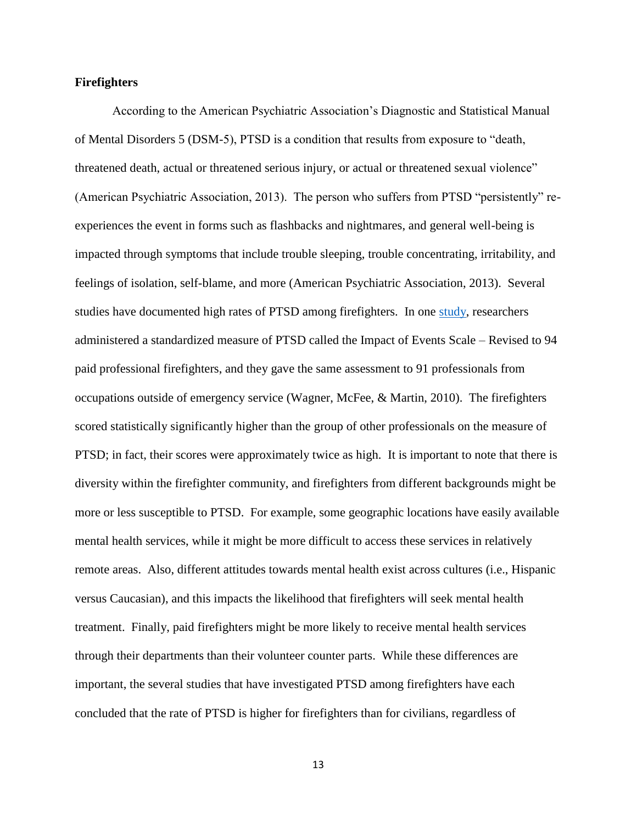## **Firefighters**

According to the American Psychiatric Association's Diagnostic and Statistical Manual of Mental Disorders 5 (DSM-5), PTSD is a condition that results from exposure to "death, threatened death, actual or threatened serious injury, or actual or threatened sexual violence" (American Psychiatric Association, 2013). The person who suffers from PTSD "persistently" reexperiences the event in forms such as flashbacks and nightmares, and general well-being is impacted through symptoms that include trouble sleeping, trouble concentrating, irritability, and feelings of isolation, self-blame, and more (American Psychiatric Association, 2013). Several studies have documented high rates of PTSD among firefighters. In one [study,](http://psycnet.apa.org/buy/2010-13580-004) researchers administered a standardized measure of PTSD called the Impact of Events Scale – Revised to 94 paid professional firefighters, and they gave the same assessment to 91 professionals from occupations outside of emergency service (Wagner, McFee, & Martin, 2010). The firefighters scored statistically significantly higher than the group of other professionals on the measure of PTSD; in fact, their scores were approximately twice as high. It is important to note that there is diversity within the firefighter community, and firefighters from different backgrounds might be more or less susceptible to PTSD. For example, some geographic locations have easily available mental health services, while it might be more difficult to access these services in relatively remote areas. Also, different attitudes towards mental health exist across cultures (i.e., Hispanic versus Caucasian), and this impacts the likelihood that firefighters will seek mental health treatment. Finally, paid firefighters might be more likely to receive mental health services through their departments than their volunteer counter parts. While these differences are important, the several studies that have investigated PTSD among firefighters have each concluded that the rate of PTSD is higher for firefighters than for civilians, regardless of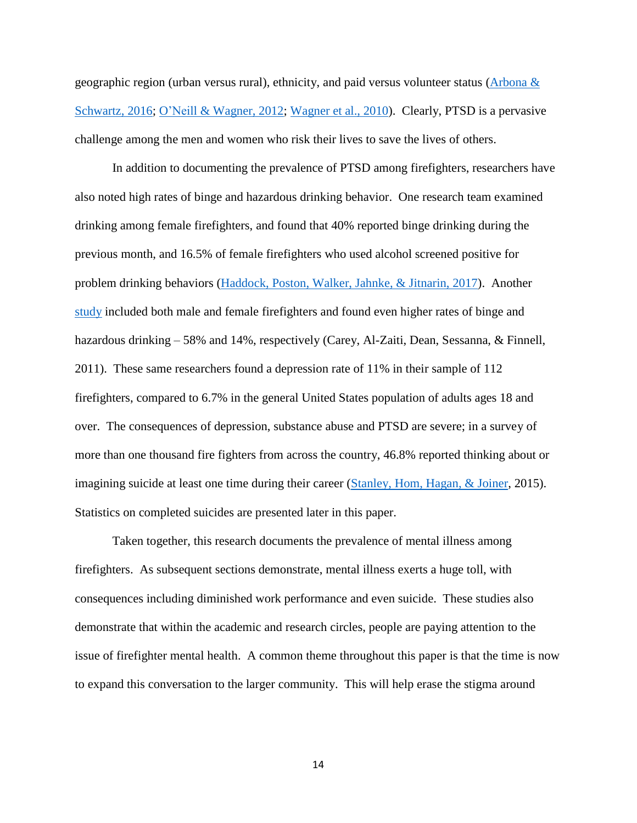geographic region (urban versus rural), ethnicity, and paid versus volunteer status (Arbona  $\&$ [Schwartz, 2016;](http://journals.sagepub.com/doi/abs/10.1177/0739986316661328?journalCode=hjba) O'Neill [& Wagner, 2012; Wagner et al., 2010\)](https://www.researchgate.net/publication/244012045_Mental_health_implications_of_volunteer_fire_service_membership). Clearly, PTSD is a pervasive challenge among the men and women who risk their lives to save the lives of others.

In addition to documenting the prevalence of PTSD among firefighters, researchers have also noted high rates of binge and hazardous drinking behavior. One research team examined drinking among female firefighters, and found that 40% reported binge drinking during the previous month, and 16.5% of female firefighters who used alcohol screened positive for problem drinking behaviors [\(Haddock, Poston, Walker, Jahnke, & Jitnarin, 2017\)](https://www.ncbi.nlm.nih.gov/pubmed/28822615). Another [study](https://www.ncbi.nlm.nih.gov/pubmed/21785370) included both male and female firefighters and found even higher rates of binge and hazardous drinking – 58% and 14%, respectively (Carey, Al-Zaiti, Dean, Sessanna, & Finnell, 2011). These same researchers found a depression rate of 11% in their sample of 112 firefighters, compared to 6.7% in the general United States population of adults ages 18 and over. The consequences of depression, substance abuse and PTSD are severe; in a survey of more than one thousand fire fighters from across the country, 46.8% reported thinking about or imagining suicide at least one time during their career [\(Stanley, Hom, Hagan, & Joiner,](https://www.ncbi.nlm.nih.gov/pubmed/26339926) 2015). Statistics on completed suicides are presented later in this paper.

Taken together, this research documents the prevalence of mental illness among firefighters. As subsequent sections demonstrate, mental illness exerts a huge toll, with consequences including diminished work performance and even suicide. These studies also demonstrate that within the academic and research circles, people are paying attention to the issue of firefighter mental health. A common theme throughout this paper is that the time is now to expand this conversation to the larger community. This will help erase the stigma around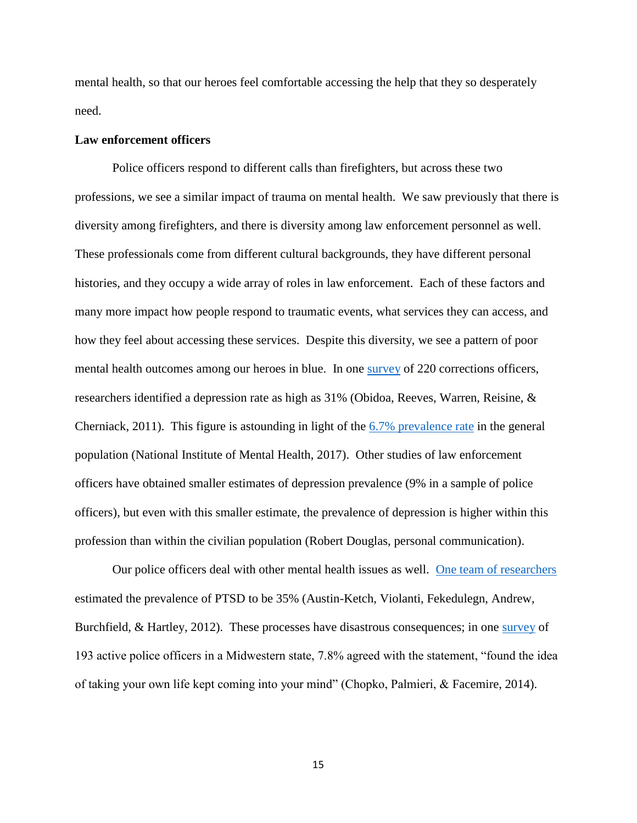mental health, so that our heroes feel comfortable accessing the help that they so desperately need.

#### **Law enforcement officers**

Police officers respond to different calls than firefighters, but across these two professions, we see a similar impact of trauma on mental health. We saw previously that there is diversity among firefighters, and there is diversity among law enforcement personnel as well. These professionals come from different cultural backgrounds, they have different personal histories, and they occupy a wide array of roles in law enforcement. Each of these factors and many more impact how people respond to traumatic events, what services they can access, and how they feel about accessing these services. Despite this diversity, we see a pattern of poor mental health outcomes among our heroes in blue. In one [survey](https://www.ncbi.nlm.nih.gov/pubmed/22005395) of 220 corrections officers, researchers identified a depression rate as high as 31% (Obidoa, Reeves, Warren, Reisine, & Cherniack, 2011). This figure is astounding in light of the [6.7% prevalence rate](https://www.nimh.nih.gov/health/statistics/major-depression.shtml) in the general population (National Institute of Mental Health, 2017). Other studies of law enforcement officers have obtained smaller estimates of depression prevalence (9% in a sample of police officers), but even with this smaller estimate, the prevalence of depression is higher within this profession than within the civilian population (Robert Douglas, personal communication).

Our police officers deal with other mental health issues as well. [One team of researchers](https://www.ncbi.nlm.nih.gov/pubmed/22468657) estimated the prevalence of PTSD to be 35% (Austin-Ketch, Violanti, Fekedulegn, Andrew, Burchfield, & Hartley, 2012). These processes have disastrous consequences; in one [survey](https://link.springer.com/article/10.1007/s11896-013-9116-z) of 193 active police officers in a Midwestern state, 7.8% agreed with the statement, "found the idea of taking your own life kept coming into your mind" (Chopko, Palmieri, & Facemire, 2014).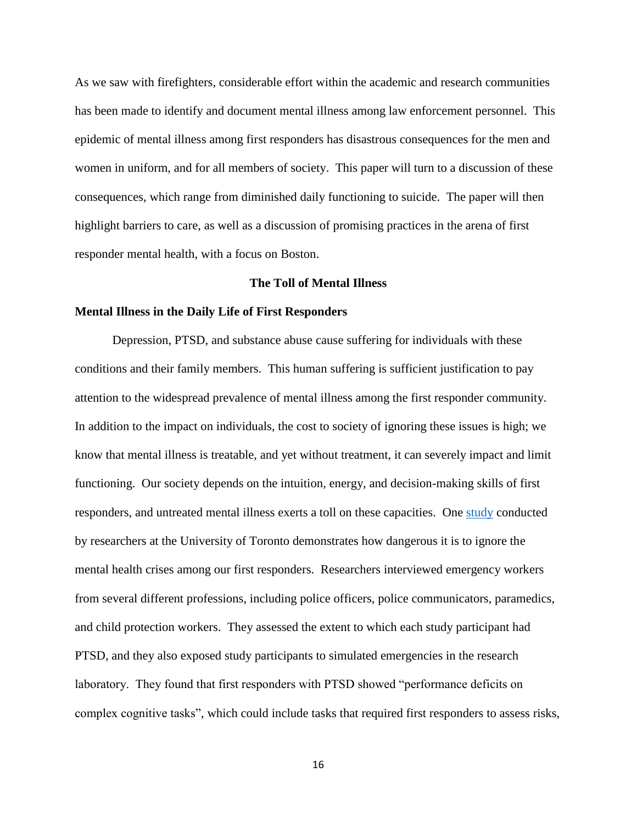As we saw with firefighters, considerable effort within the academic and research communities has been made to identify and document mental illness among law enforcement personnel. This epidemic of mental illness among first responders has disastrous consequences for the men and women in uniform, and for all members of society. This paper will turn to a discussion of these consequences, which range from diminished daily functioning to suicide. The paper will then highlight barriers to care, as well as a discussion of promising practices in the arena of first responder mental health, with a focus on Boston.

## **The Toll of Mental Illness**

#### **Mental Illness in the Daily Life of First Responders**

Depression, PTSD, and substance abuse cause suffering for individuals with these conditions and their family members. This human suffering is sufficient justification to pay attention to the widespread prevalence of mental illness among the first responder community. In addition to the impact on individuals, the cost to society of ignoring these issues is high; we know that mental illness is treatable, and yet without treatment, it can severely impact and limit functioning. Our society depends on the intuition, energy, and decision-making skills of first responders, and untreated mental illness exerts a toll on these capacities. One [study](https://www.ncbi.nlm.nih.gov/pubmed/28619858) conducted by researchers at the University of Toronto demonstrates how dangerous it is to ignore the mental health crises among our first responders. Researchers interviewed emergency workers from several different professions, including police officers, police communicators, paramedics, and child protection workers. They assessed the extent to which each study participant had PTSD, and they also exposed study participants to simulated emergencies in the research laboratory. They found that first responders with PTSD showed "performance deficits on complex cognitive tasks", which could include tasks that required first responders to assess risks,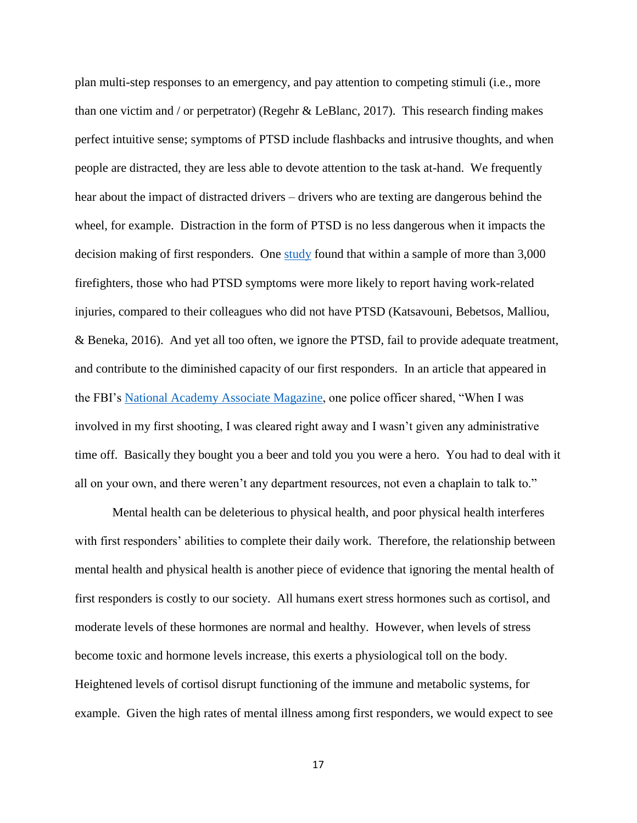plan multi-step responses to an emergency, and pay attention to competing stimuli (i.e., more than one victim and / or perpetrator) (Regehr & LeBlanc, 2017). This research finding makes perfect intuitive sense; symptoms of PTSD include flashbacks and intrusive thoughts, and when people are distracted, they are less able to devote attention to the task at-hand. We frequently hear about the impact of distracted drivers – drivers who are texting are dangerous behind the wheel, for example. Distraction in the form of PTSD is no less dangerous when it impacts the decision making of first responders. One [study](https://academic.oup.com/occmed/article/66/1/32/2750638) found that within a sample of more than 3,000 firefighters, those who had PTSD symptoms were more likely to report having work-related injuries, compared to their colleagues who did not have PTSD (Katsavouni, Bebetsos, Malliou, & Beneka, 2016). And yet all too often, we ignore the PTSD, fail to provide adequate treatment, and contribute to the diminished capacity of our first responders. In an article that appeared in the FBI's [National Academy](http://www.fbinaa.org/FBINAA/Associate_Magazine/Directory_of_Issues/FBINAA/Associate_Matters_Archive.aspx?hkey=14dcc78e-99d0-413d-aba5-39d486bf21b6) Associate Magazine, one police officer shared, "When I was involved in my first shooting, I was cleared right away and I wasn't given any administrative time off. Basically they bought you a beer and told you you were a hero. You had to deal with it all on your own, and there weren't any department resources, not even a chaplain to talk to."

Mental health can be deleterious to physical health, and poor physical health interferes with first responders' abilities to complete their daily work. Therefore, the relationship between mental health and physical health is another piece of evidence that ignoring the mental health of first responders is costly to our society. All humans exert stress hormones such as cortisol, and moderate levels of these hormones are normal and healthy. However, when levels of stress become toxic and hormone levels increase, this exerts a physiological toll on the body. Heightened levels of cortisol disrupt functioning of the immune and metabolic systems, for example. Given the high rates of mental illness among first responders, we would expect to see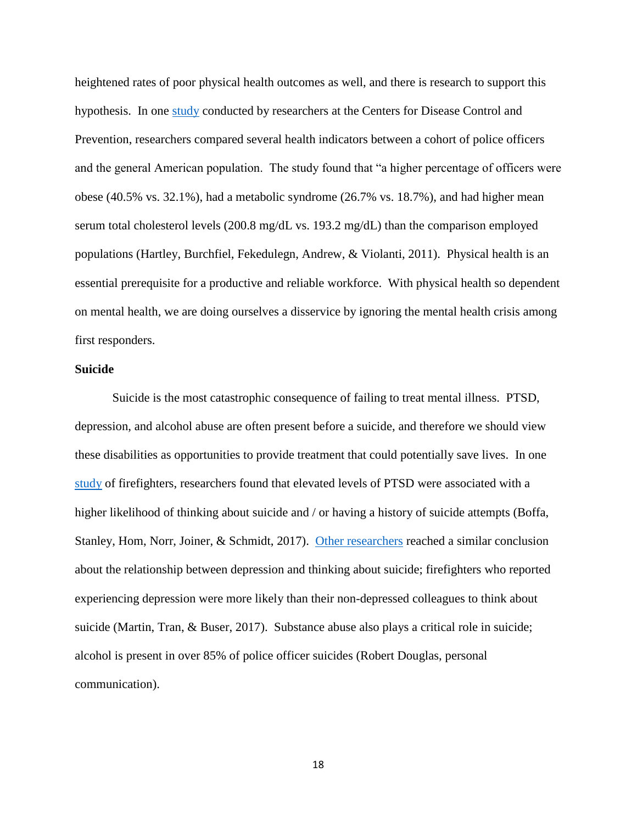heightened rates of poor physical health outcomes as well, and there is research to support this hypothesis. In one [study](https://www.ncbi.nlm.nih.gov/pubmed/22900455) conducted by researchers at the Centers for Disease Control and Prevention, researchers compared several health indicators between a cohort of police officers and the general American population. The study found that "a higher percentage of officers were obese (40.5% vs. 32.1%), had a metabolic syndrome (26.7% vs. 18.7%), and had higher mean serum total cholesterol levels (200.8 mg/dL vs. 193.2 mg/dL) than the comparison employed populations (Hartley, Burchfiel, Fekedulegn, Andrew, & Violanti, 2011). Physical health is an essential prerequisite for a productive and reliable workforce. With physical health so dependent on mental health, we are doing ourselves a disservice by ignoring the mental health crisis among first responders.

## **Suicide**

Suicide is the most catastrophic consequence of failing to treat mental illness. PTSD, depression, and alcohol abuse are often present before a suicide, and therefore we should view these disabilities as opportunities to provide treatment that could potentially save lives. In one [study](https://www.ncbi.nlm.nih.gov/pubmed/27810667) of firefighters, researchers found that elevated levels of PTSD were associated with a higher likelihood of thinking about suicide and / or having a history of suicide attempts (Boffa, Stanley, Hom, Norr, Joiner, & Schmidt, 2017). [Other researchers](https://www.ncbi.nlm.nih.gov/pubmed/27788381) reached a similar conclusion about the relationship between depression and thinking about suicide; firefighters who reported experiencing depression were more likely than their non-depressed colleagues to think about suicide (Martin, Tran, & Buser, 2017). Substance abuse also plays a critical role in suicide; alcohol is present in over 85% of police officer suicides (Robert Douglas, personal communication).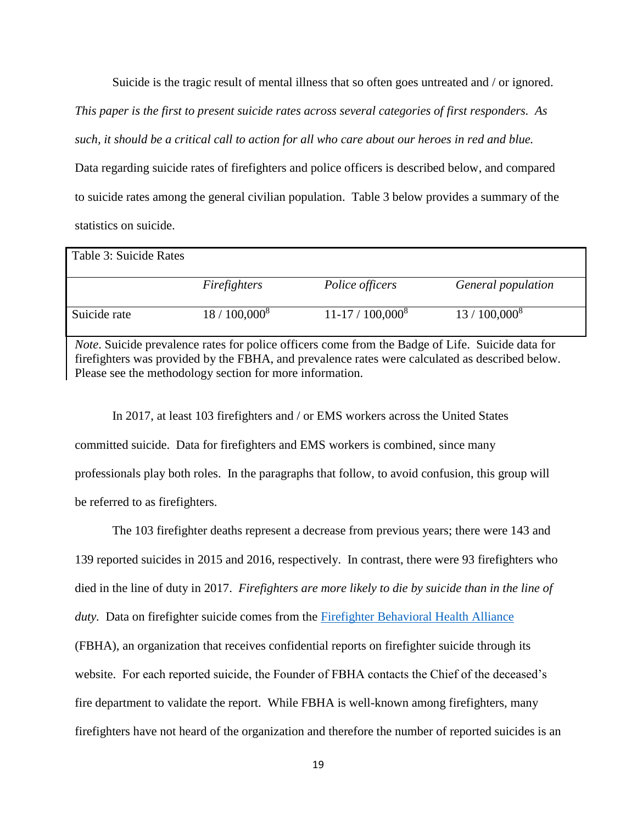Suicide is the tragic result of mental illness that so often goes untreated and / or ignored.

*This paper is the first to present suicide rates across several categories of first responders. As such, it should be a critical call to action for all who care about our heroes in red and blue.*

Data regarding suicide rates of firefighters and police officers is described below, and compared to suicide rates among the general civilian population. Table 3 below provides a summary of the statistics on suicide.

| Table 3: Suicide Rates |                |                       |                    |
|------------------------|----------------|-----------------------|--------------------|
|                        | Firefighters   | Police officers       | General population |
| Suicide rate           | $18/100,000^8$ | $11 - 17 / 100,000^8$ | $13/100,000^8$     |

*Note*. Suicide prevalence rates for police officers come from the Badge of Life. Suicide data for firefighters was provided by the FBHA, and prevalence rates were calculated as described below. Please see the methodology section for more information.

In 2017, at least 103 firefighters and / or EMS workers across the United States committed suicide. Data for firefighters and EMS workers is combined, since many professionals play both roles. In the paragraphs that follow, to avoid confusion, this group will be referred to as firefighters.

The 103 firefighter deaths represent a decrease from previous years; there were 143 and 139 reported suicides in 2015 and 2016, respectively. In contrast, there were 93 firefighters who died in the line of duty in 2017. *Firefighters are more likely to die by suicide than in the line of duty*. Data on firefighter suicide comes from the **Firefighter Behavioral Health Alliance** (FBHA), an organization that receives confidential reports on firefighter suicide through its website. For each reported suicide, the Founder of FBHA contacts the Chief of the deceased's fire department to validate the report. While FBHA is well-known among firefighters, many firefighters have not heard of the organization and therefore the number of reported suicides is an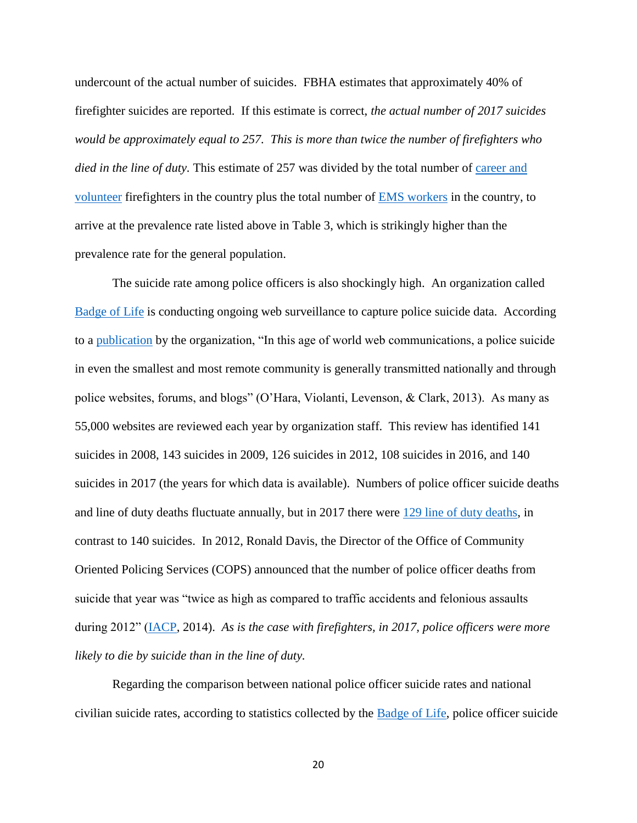undercount of the actual number of suicides. FBHA estimates that approximately 40% of firefighter suicides are reported. If this estimate is correct, *the actual number of 2017 suicides would be approximately equal to 257. This is more than twice the number of firefighters who died in the line of duty*. This estimate of 257 was divided by the total number of career and [volunteer](https://www.nfpa.org/News-and-Research/Fire-statistics-and-reports/Fire-statistics/The-fire-service/Administration/US-fire-department-profile) firefighters in the country plus the total number of [EMS workers](https://www.cdc.gov/niosh/topics/ems/) in the country, to arrive at the prevalence rate listed above in Table 3, which is strikingly higher than the prevalence rate for the general population.

The suicide rate among police officers is also shockingly high. An organization called [Badge of Life](http://www.badgeoflife.com/) is conducting ongoing web surveillance to capture police suicide data. According to a [publication](https://www.ncbi.nlm.nih.gov/pubmed/24187885) by the organization, "In this age of world web communications, a police suicide in even the smallest and most remote community is generally transmitted nationally and through police websites, forums, and blogs" (O'Hara, Violanti, Levenson, & Clark, 2013). As many as 55,000 websites are reviewed each year by organization staff. This review has identified 141 suicides in 2008, 143 suicides in 2009, 126 suicides in 2012, 108 suicides in 2016, and 140 suicides in 2017 (the years for which data is available). Numbers of police officer suicide deaths and line of duty deaths fluctuate annually, but in 2017 there were [129 line of duty deaths,](http://www.nleomf.org/facts/officer-fatalities-data/year.html) in contrast to 140 suicides. In 2012, Ronald Davis, the Director of the Office of Community Oriented Policing Services (COPS) announced that the number of police officer deaths from suicide that year was "twice as high as compared to traffic accidents and felonious assaults during 2012" [\(IACP,](http://www.theiacp.org/Portals/0/documents/pdfs/Suicide_Project/Officer_Suicide_Report.pdf) 2014). *As is the case with firefighters, in 2017, police officers were more likely to die by suicide than in the line of duty.*

Regarding the comparison between national police officer suicide rates and national civilian suicide rates, according to statistics collected by the [Badge of Life,](http://www.badgeoflife.com/) police officer suicide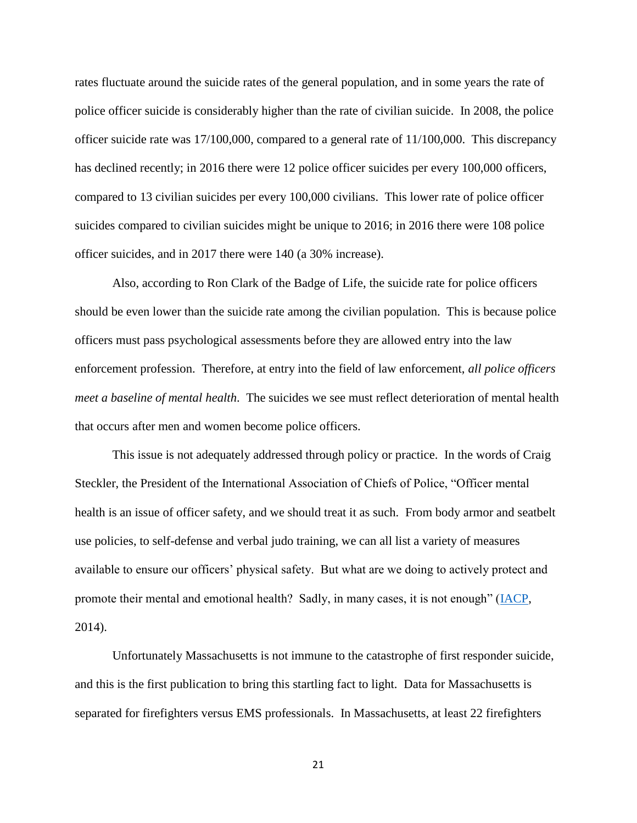rates fluctuate around the suicide rates of the general population, and in some years the rate of police officer suicide is considerably higher than the rate of civilian suicide. In 2008, the police officer suicide rate was 17/100,000, compared to a general rate of 11/100,000. This discrepancy has declined recently; in 2016 there were 12 police officer suicides per every 100,000 officers, compared to 13 civilian suicides per every 100,000 civilians. This lower rate of police officer suicides compared to civilian suicides might be unique to 2016; in 2016 there were 108 police officer suicides, and in 2017 there were 140 (a 30% increase).

Also, according to Ron Clark of the Badge of Life, the suicide rate for police officers should be even lower than the suicide rate among the civilian population. This is because police officers must pass psychological assessments before they are allowed entry into the law enforcement profession. Therefore, at entry into the field of law enforcement, *all police officers meet a baseline of mental health*. The suicides we see must reflect deterioration of mental health that occurs after men and women become police officers.

This issue is not adequately addressed through policy or practice. In the words of Craig Steckler, the President of the International Association of Chiefs of Police, "Officer mental health is an issue of officer safety, and we should treat it as such. From body armor and seatbelt use policies, to self-defense and verbal judo training, we can all list a variety of measures available to ensure our officers' physical safety. But what are we doing to actively protect and promote their mental and emotional health? Sadly, in many cases, it is not enough" [\(IACP,](http://www.theiacp.org/Portals/0/documents/pdfs/Suicide_Project/Officer_Suicide_Report.pdf) 2014).

Unfortunately Massachusetts is not immune to the catastrophe of first responder suicide, and this is the first publication to bring this startling fact to light. Data for Massachusetts is separated for firefighters versus EMS professionals. In Massachusetts, at least 22 firefighters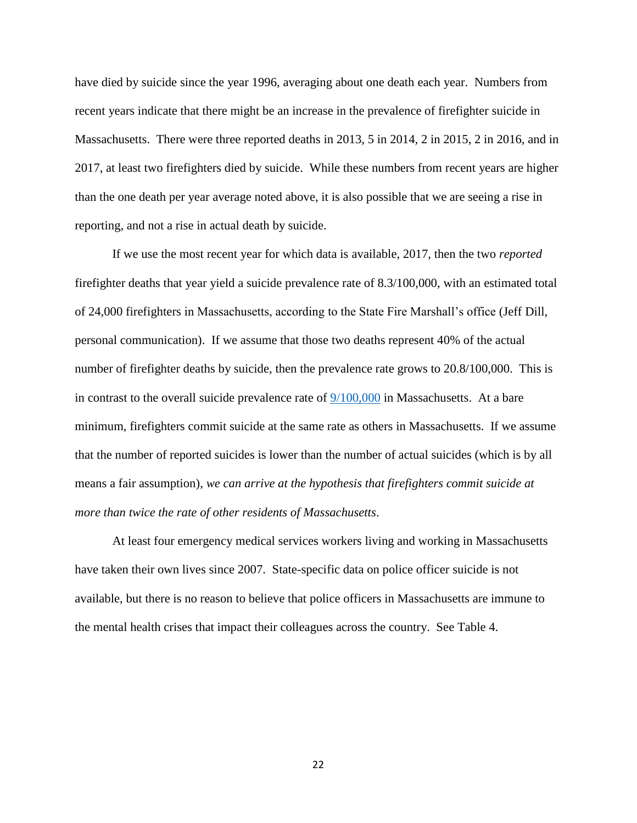have died by suicide since the year 1996, averaging about one death each year. Numbers from recent years indicate that there might be an increase in the prevalence of firefighter suicide in Massachusetts. There were three reported deaths in 2013, 5 in 2014, 2 in 2015, 2 in 2016, and in 2017, at least two firefighters died by suicide. While these numbers from recent years are higher than the one death per year average noted above, it is also possible that we are seeing a rise in reporting, and not a rise in actual death by suicide.

If we use the most recent year for which data is available, 2017, then the two *reported* firefighter deaths that year yield a suicide prevalence rate of 8.3/100,000, with an estimated total of 24,000 firefighters in Massachusetts, according to the State Fire Marshall's office (Jeff Dill, personal communication). If we assume that those two deaths represent 40% of the actual number of firefighter deaths by suicide, then the prevalence rate grows to 20.8/100,000. This is in contrast to the overall suicide prevalence rate of [9/100,000](https://www.bostonglobe.com/metro/2017/02/28/suicides-mass-rise-percent-decade/jzG4aS5aylM9ufJe2aEXrK/story.html) in Massachusetts. At a bare minimum, firefighters commit suicide at the same rate as others in Massachusetts. If we assume that the number of reported suicides is lower than the number of actual suicides (which is by all means a fair assumption), *we can arrive at the hypothesis that firefighters commit suicide at more than twice the rate of other residents of Massachusetts*.

At least four emergency medical services workers living and working in Massachusetts have taken their own lives since 2007. State-specific data on police officer suicide is not available, but there is no reason to believe that police officers in Massachusetts are immune to the mental health crises that impact their colleagues across the country. See Table 4.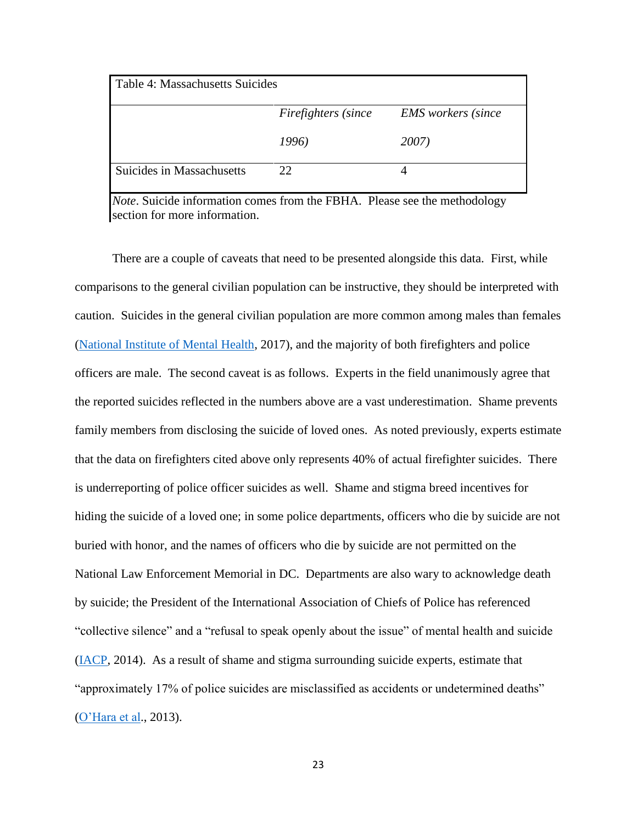| Table 4: Massachusetts Suicides |                     |                           |  |  |
|---------------------------------|---------------------|---------------------------|--|--|
|                                 | Firefighters (since | <b>EMS</b> workers (since |  |  |
|                                 | 1996)               | 2007)                     |  |  |
| Suicides in Massachusetts       | 22                  |                           |  |  |

*Note*. Suicide information comes from the FBHA. Please see the methodology section for more information.

There are a couple of caveats that need to be presented alongside this data. First, while comparisons to the general civilian population can be instructive, they should be interpreted with caution. Suicides in the general civilian population are more common among males than females [\(National Institute of Mental Health,](https://www.nimh.nih.gov/health/statistics/suicide.shtml) 2017), and the majority of both firefighters and police officers are male. The second caveat is as follows. Experts in the field unanimously agree that the reported suicides reflected in the numbers above are a vast underestimation. Shame prevents family members from disclosing the suicide of loved ones. As noted previously, experts estimate that the data on firefighters cited above only represents 40% of actual firefighter suicides. There is underreporting of police officer suicides as well. Shame and stigma breed incentives for hiding the suicide of a loved one; in some police departments, officers who die by suicide are not buried with honor, and the names of officers who die by suicide are not permitted on the National Law Enforcement Memorial in DC. Departments are also wary to acknowledge death by suicide; the President of the International Association of Chiefs of Police has referenced "collective silence" and a "refusal to speak openly about the issue" of mental health and suicide [\(IACP,](http://www.theiacp.org/Portals/0/documents/pdfs/Suicide_Project/Officer_Suicide_Report.pdf) 2014). As a result of shame and stigma surrounding suicide experts, estimate that "approximately 17% of police suicides are misclassified as accidents or undetermined deaths" [\(O'Hara et al.](https://www.ncbi.nlm.nih.gov/pubmed/24187885), 2013).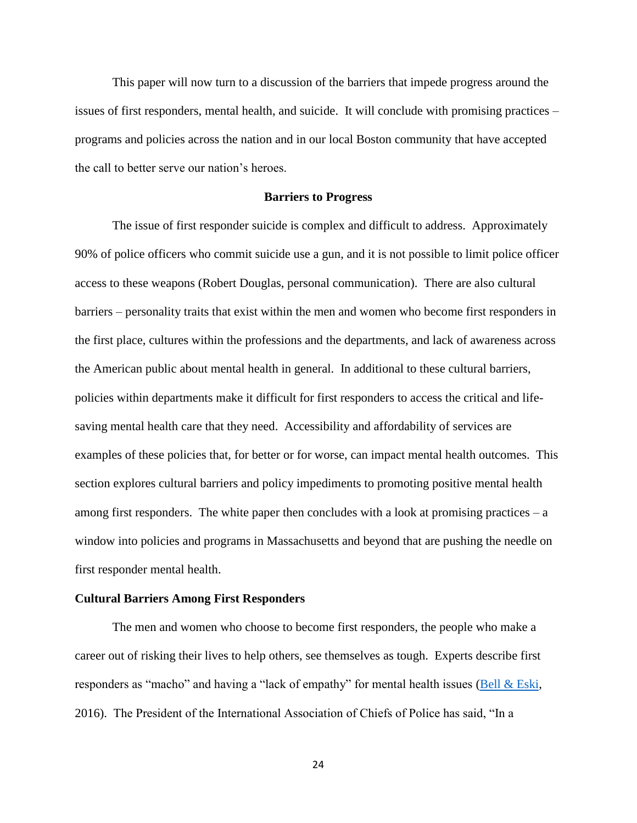This paper will now turn to a discussion of the barriers that impede progress around the issues of first responders, mental health, and suicide. It will conclude with promising practices – programs and policies across the nation and in our local Boston community that have accepted the call to better serve our nation's heroes.

#### **Barriers to Progress**

The issue of first responder suicide is complex and difficult to address. Approximately 90% of police officers who commit suicide use a gun, and it is not possible to limit police officer access to these weapons (Robert Douglas, personal communication). There are also cultural barriers – personality traits that exist within the men and women who become first responders in the first place, cultures within the professions and the departments, and lack of awareness across the American public about mental health in general. In additional to these cultural barriers, policies within departments make it difficult for first responders to access the critical and lifesaving mental health care that they need. Accessibility and affordability of services are examples of these policies that, for better or for worse, can impact mental health outcomes. This section explores cultural barriers and policy impediments to promoting positive mental health among first responders. The white paper then concludes with a look at promising practices  $-a$ window into policies and programs in Massachusetts and beyond that are pushing the needle on first responder mental health.

#### **Cultural Barriers Among First Responders**

The men and women who choose to become first responders, the people who make a career out of risking their lives to help others, see themselves as tough. Experts describe first responders as "macho" and having a "lack of empathy" for mental health issues [\(Bell & Eski,](https://academic.oup.com/policing/article-abstract/10/2/95/1753354?redirectedFrom=fulltext) 2016). The President of the International Association of Chiefs of Police has said, "In a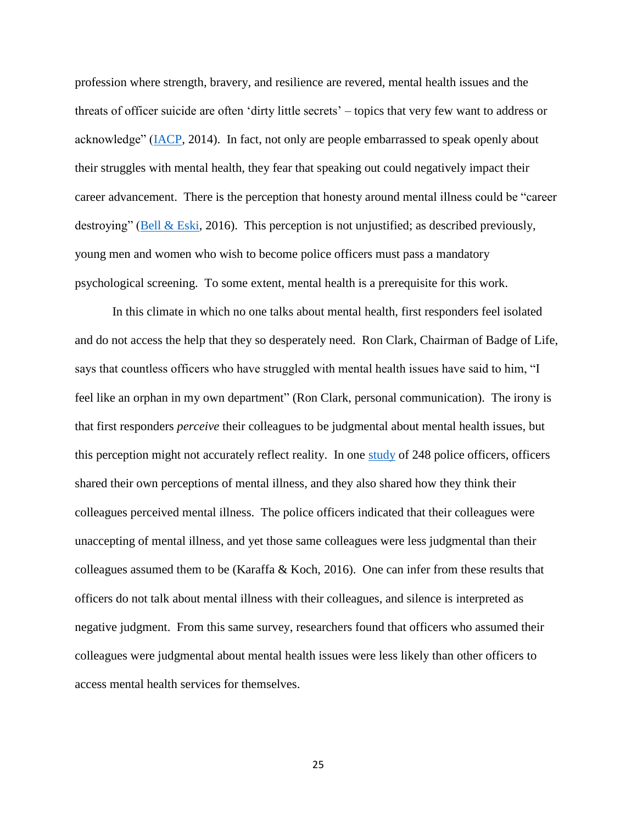profession where strength, bravery, and resilience are revered, mental health issues and the threats of officer suicide are often 'dirty little secrets' – topics that very few want to address or acknowledge" [\(IACP,](http://www.theiacp.org/Portals/0/documents/pdfs/Suicide_Project/Officer_Suicide_Report.pdf) 2014). In fact, not only are people embarrassed to speak openly about their struggles with mental health, they fear that speaking out could negatively impact their career advancement. There is the perception that honesty around mental illness could be "career destroying" [\(Bell & Eski,](https://academic.oup.com/policing/article-abstract/10/2/95/1753354?redirectedFrom=fulltext) 2016). This perception is not unjustified; as described previously, young men and women who wish to become police officers must pass a mandatory psychological screening. To some extent, mental health is a prerequisite for this work.

In this climate in which no one talks about mental health, first responders feel isolated and do not access the help that they so desperately need. Ron Clark, Chairman of Badge of Life, says that countless officers who have struggled with mental health issues have said to him, "I feel like an orphan in my own department" (Ron Clark, personal communication). The irony is that first responders *perceive* their colleagues to be judgmental about mental health issues, but this perception might not accurately reflect reality. In one [study](https://www.researchgate.net/publication/283654768_Stigma_Pluralistic_Ignorance_and_Attitudes_Toward_Seeking_Mental_Health_Services_Among_Police_Officers) of 248 police officers, officers shared their own perceptions of mental illness, and they also shared how they think their colleagues perceived mental illness. The police officers indicated that their colleagues were unaccepting of mental illness, and yet those same colleagues were less judgmental than their colleagues assumed them to be (Karaffa & Koch, 2016). One can infer from these results that officers do not talk about mental illness with their colleagues, and silence is interpreted as negative judgment. From this same survey, researchers found that officers who assumed their colleagues were judgmental about mental health issues were less likely than other officers to access mental health services for themselves.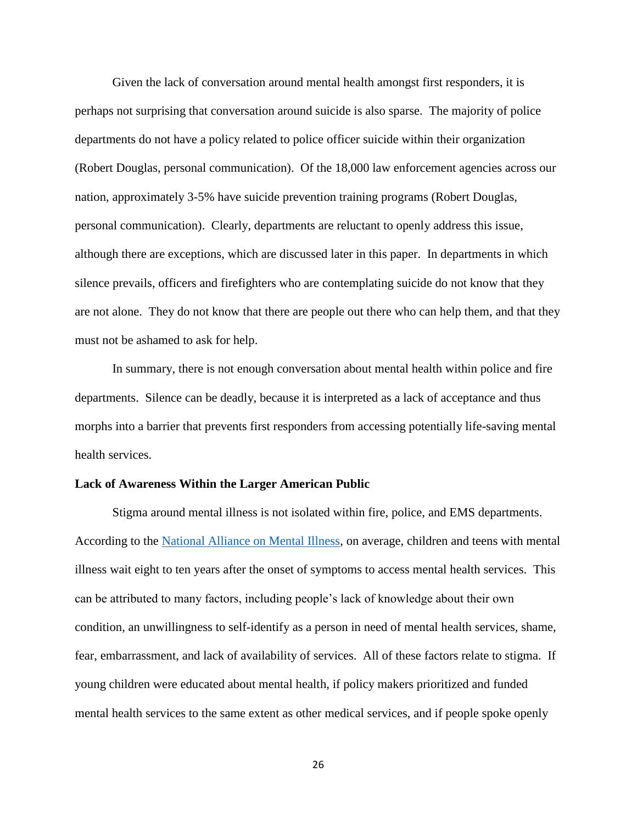Given the lack of conversation around mental health amongst first responders, it is perhaps not surprising that conversation around suicide is also sparse. The majority of police departments do not have a policy related to police officer suicide within their organization (Robert Douglas, personal communication). Of the 18,000 law enforcement agencies across our nation, approximately 3-5% have suicide prevention training programs (Robert Douglas, personal communication). Clearly, departments are reluctant to openly address this issue, although there are exceptions, which are discussed later in this paper. In departments in which silence prevails, officers and firefighters who are contemplating suicide do not know that they are not alone. They do not know that there are people out there who can help them, and that they must not be ashamed to ask for help.

In summary, there is not enough conversation about mental health within police and fire departments. Silence can be deadly, because it is interpreted as a lack of acceptance and thus morphs into a barrier that prevents first responders from accessing potentially life-saving mental health services.

## **Lack of Awareness Within the Larger American Public**

Stigma around mental illness is not isolated within fire, police, and EMS departments. According to the [National Alliance on Mental Illness,](https://www.nami.org/getattachment/Learn-More/Mental-Health-by-the-Numbers/childrenmhfacts.pdf) on average, children and teens with mental illness wait eight to ten years after the onset of symptoms to access mental health services. This can be attributed to many factors, including people's lack of knowledge about their own condition, an unwillingness to self-identify as a person in need of mental health services, shame, fear, embarrassment, and lack of availability of services. All of these factors relate to stigma. If young children were educated about mental health, if policy makers prioritized and funded mental health services to the same extent as other medical services, and if people spoke openly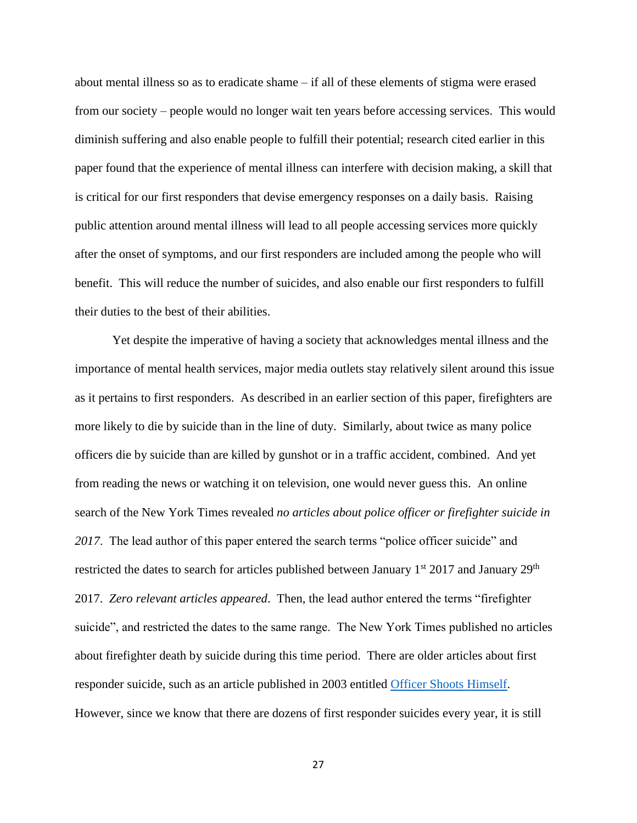about mental illness so as to eradicate shame – if all of these elements of stigma were erased from our society – people would no longer wait ten years before accessing services. This would diminish suffering and also enable people to fulfill their potential; research cited earlier in this paper found that the experience of mental illness can interfere with decision making, a skill that is critical for our first responders that devise emergency responses on a daily basis. Raising public attention around mental illness will lead to all people accessing services more quickly after the onset of symptoms, and our first responders are included among the people who will benefit. This will reduce the number of suicides, and also enable our first responders to fulfill their duties to the best of their abilities.

Yet despite the imperative of having a society that acknowledges mental illness and the importance of mental health services, major media outlets stay relatively silent around this issue as it pertains to first responders. As described in an earlier section of this paper, firefighters are more likely to die by suicide than in the line of duty. Similarly, about twice as many police officers die by suicide than are killed by gunshot or in a traffic accident, combined. And yet from reading the news or watching it on television, one would never guess this. An online search of the New York Times revealed *no articles about police officer or firefighter suicide in 2017*. The lead author of this paper entered the search terms "police officer suicide" and restricted the dates to search for articles published between January  $1<sup>st</sup> 2017$  and January  $29<sup>th</sup>$ 2017. *Zero relevant articles appeared*. Then, the lead author entered the terms "firefighter suicide", and restricted the dates to the same range. The New York Times published no articles about firefighter death by suicide during this time period. There are older articles about first responder suicide, such as an article published in 2003 entitled Officer [Shoots Himself.](http://www.nytimes.com/2003/09/02/nyregion/officer-shoots-himself.html) However, since we know that there are dozens of first responder suicides every year, it is still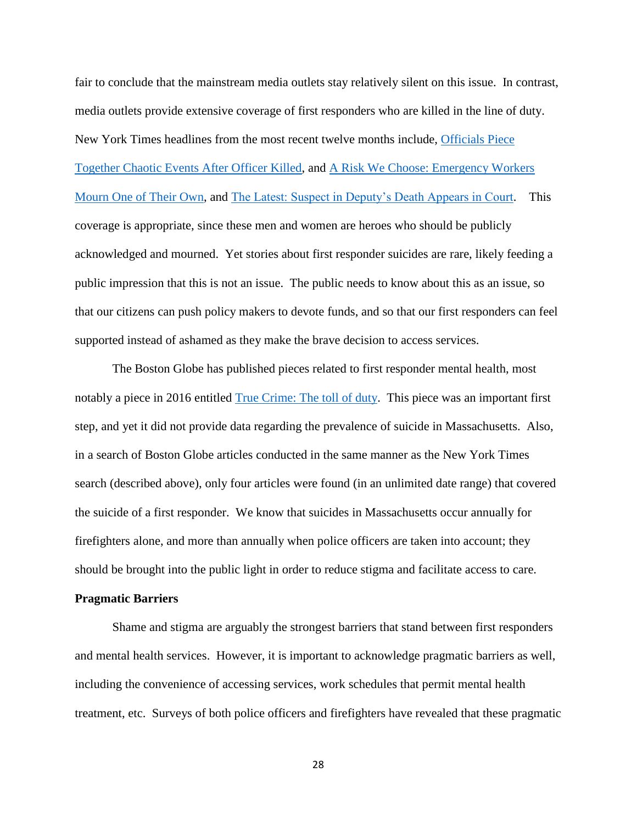fair to conclude that the mainstream media outlets stay relatively silent on this issue. In contrast, media outlets provide extensive coverage of first responders who are killed in the line of duty. New York Times headlines from the most recent twelve months include, [Officials Piece](https://www.nytimes.com/aponline/2018/01/19/us/ap-us-pennsylvania-capital-officers-injured.html)  [Together Chaotic Events After Officer Killed,](https://www.nytimes.com/aponline/2018/01/19/us/ap-us-pennsylvania-capital-officers-injured.html) and [A Risk We Choose: Emergency Workers](https://www.nytimes.com/2017/03/25/nyregion/bronx-emt-worker-funeral-woodlawn-cemetery.html?mtrref=query.nytimes.com&auth=login-email)  [Mourn One of Their Own,](https://www.nytimes.com/2017/03/25/nyregion/bronx-emt-worker-funeral-woodlawn-cemetery.html?mtrref=query.nytimes.com&auth=login-email) and [The Latest: Suspect in Deputy's Death Appears in Court.](https://www.nytimes.com/aponline/2018/01/26/us/ap-us-deputy-killed-colorado-the-latest.html) This coverage is appropriate, since these men and women are heroes who should be publicly acknowledged and mourned. Yet stories about first responder suicides are rare, likely feeding a public impression that this is not an issue. The public needs to know about this as an issue, so that our citizens can push policy makers to devote funds, and so that our first responders can feel supported instead of ashamed as they make the brave decision to access services.

The Boston Globe has published pieces related to first responder mental health, most notably a piece in 2016 entitled [True Crime: The toll of duty.](https://apps.bostonglobe.com/true-crime/toll-of-duty/) This piece was an important first step, and yet it did not provide data regarding the prevalence of suicide in Massachusetts. Also, in a search of Boston Globe articles conducted in the same manner as the New York Times search (described above), only four articles were found (in an unlimited date range) that covered the suicide of a first responder. We know that suicides in Massachusetts occur annually for firefighters alone, and more than annually when police officers are taken into account; they should be brought into the public light in order to reduce stigma and facilitate access to care.

#### **Pragmatic Barriers**

Shame and stigma are arguably the strongest barriers that stand between first responders and mental health services. However, it is important to acknowledge pragmatic barriers as well, including the convenience of accessing services, work schedules that permit mental health treatment, etc. Surveys of both police officers and firefighters have revealed that these pragmatic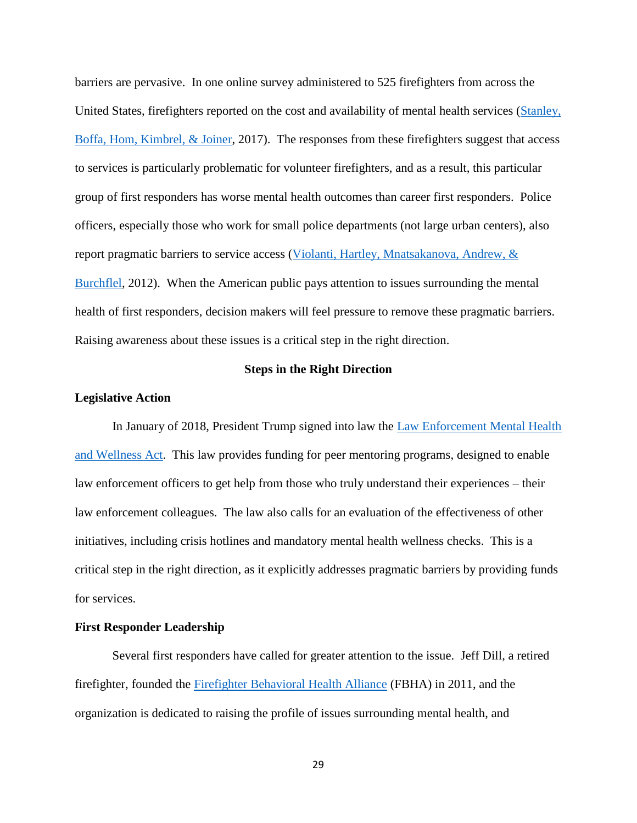barriers are pervasive. In one online survey administered to 525 firefighters from across the United States, firefighters reported on the cost and availability of mental health services [\(Stanley,](https://www.ncbi.nlm.nih.gov/pubmed/27930964)  [Boffa, Hom, Kimbrel, & Joiner,](https://www.ncbi.nlm.nih.gov/pubmed/27930964) 2017). The responses from these firefighters suggest that access to services is particularly problematic for volunteer firefighters, and as a result, this particular group of first responders has worse mental health outcomes than career first responders. Police officers, especially those who work for small police departments (not large urban centers), also report pragmatic barriers to service access [\(Violanti, Hartley, Mnatsakanova, Andrew, &](https://www.ncbi.nlm.nih.gov/pubmed/23894796)  [Burchflel,](https://www.ncbi.nlm.nih.gov/pubmed/23894796) 2012). When the American public pays attention to issues surrounding the mental health of first responders, decision makers will feel pressure to remove these pragmatic barriers. Raising awareness about these issues is a critical step in the right direction.

## **Steps in the Right Direction**

## **Legislative Action**

In January of 2018, President Trump signed into law the [Law Enforcement Mental Health](https://www.policeone.com/health-fitness/articles/469073006-Trump-signs-mental-health-bill-for-police-officers/)  [and Wellness Act.](https://www.policeone.com/health-fitness/articles/469073006-Trump-signs-mental-health-bill-for-police-officers/) This law provides funding for peer mentoring programs, designed to enable law enforcement officers to get help from those who truly understand their experiences – their law enforcement colleagues. The law also calls for an evaluation of the effectiveness of other initiatives, including crisis hotlines and mandatory mental health wellness checks. This is a critical step in the right direction, as it explicitly addresses pragmatic barriers by providing funds for services.

#### **First Responder Leadership**

Several first responders have called for greater attention to the issue. Jeff Dill, a retired firefighter, founded the [Firefighter Behavioral Health Alliance](http://www.ffbha.org/) (FBHA) in 2011, and the organization is dedicated to raising the profile of issues surrounding mental health, and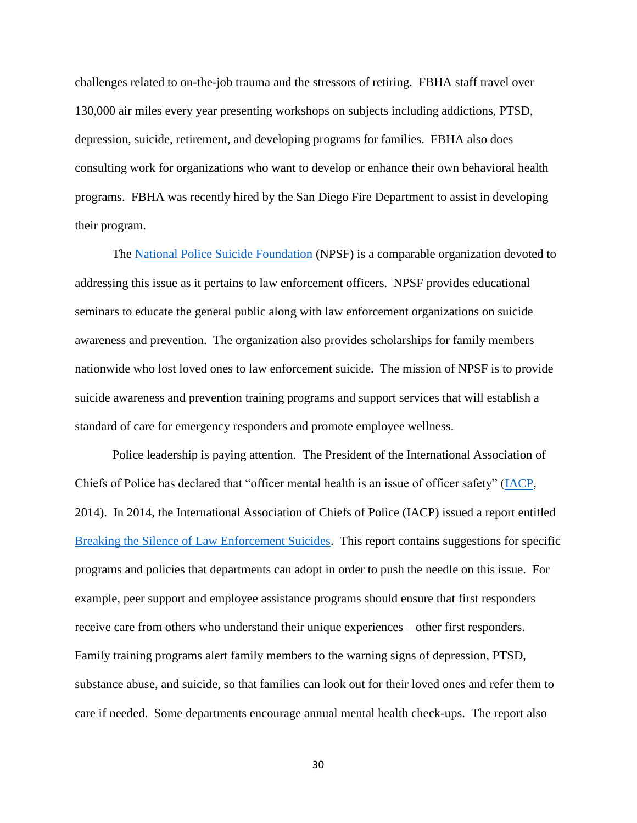challenges related to on-the-job trauma and the stressors of retiring. FBHA staff travel over 130,000 air miles every year presenting workshops on subjects including addictions, PTSD, depression, suicide, retirement, and developing programs for families. FBHA also does consulting work for organizations who want to develop or enhance their own behavioral health programs. FBHA was recently hired by the San Diego Fire Department to assist in developing their program.

The [National Police Suicide Foundation](https://www.psf.org/) (NPSF) is a comparable organization devoted to addressing this issue as it pertains to law enforcement officers. NPSF provides educational seminars to educate the general public along with law enforcement organizations on suicide awareness and prevention. The organization also provides scholarships for family members nationwide who lost loved ones to law enforcement suicide. The mission of NPSF is to provide suicide awareness and prevention training programs and support services that will establish a standard of care for emergency responders and promote employee wellness.

Police leadership is paying attention. The President of the International Association of Chiefs of Police has declared that "officer mental health is an issue of officer safety" [\(IACP,](http://www.theiacp.org/Portals/0/documents/pdfs/Suicide_Project/Officer_Suicide_Report.pdf) 2014). In 2014, the International Association of Chiefs of Police (IACP) issued a report entitled [Breaking the Silence of Law Enforcement Suicides.](http://www.theiacp.org/Portals/0/documents/pdfs/Suicide_Project/Officer_Suicide_Report.pdf) This report contains suggestions for specific programs and policies that departments can adopt in order to push the needle on this issue. For example, peer support and employee assistance programs should ensure that first responders receive care from others who understand their unique experiences – other first responders. Family training programs alert family members to the warning signs of depression, PTSD, substance abuse, and suicide, so that families can look out for their loved ones and refer them to care if needed. Some departments encourage annual mental health check-ups. The report also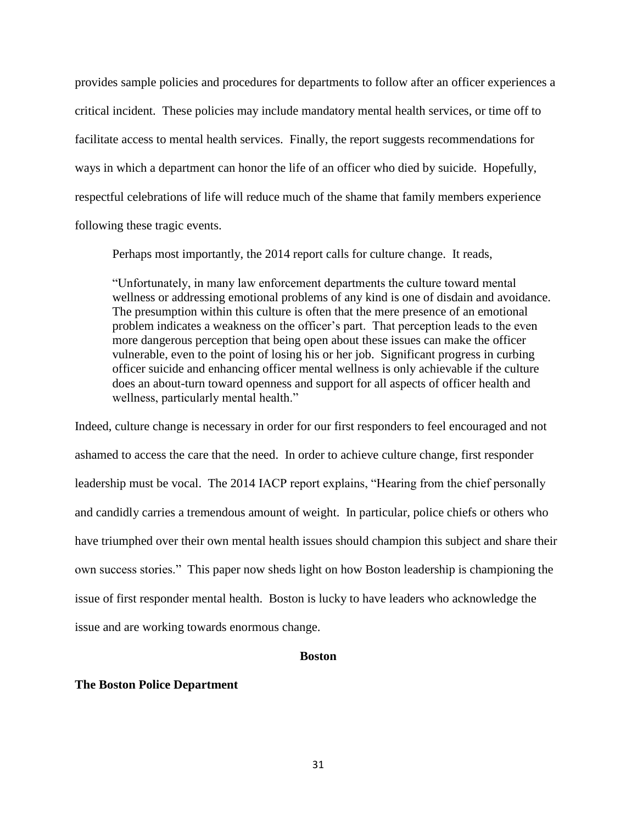provides sample policies and procedures for departments to follow after an officer experiences a critical incident. These policies may include mandatory mental health services, or time off to facilitate access to mental health services. Finally, the report suggests recommendations for ways in which a department can honor the life of an officer who died by suicide. Hopefully, respectful celebrations of life will reduce much of the shame that family members experience following these tragic events.

Perhaps most importantly, the 2014 report calls for culture change. It reads,

"Unfortunately, in many law enforcement departments the culture toward mental wellness or addressing emotional problems of any kind is one of disdain and avoidance. The presumption within this culture is often that the mere presence of an emotional problem indicates a weakness on the officer's part. That perception leads to the even more dangerous perception that being open about these issues can make the officer vulnerable, even to the point of losing his or her job. Significant progress in curbing officer suicide and enhancing officer mental wellness is only achievable if the culture does an about-turn toward openness and support for all aspects of officer health and wellness, particularly mental health."

Indeed, culture change is necessary in order for our first responders to feel encouraged and not ashamed to access the care that the need. In order to achieve culture change, first responder leadership must be vocal. The 2014 IACP report explains, "Hearing from the chief personally and candidly carries a tremendous amount of weight. In particular, police chiefs or others who have triumphed over their own mental health issues should champion this subject and share their own success stories." This paper now sheds light on how Boston leadership is championing the issue of first responder mental health. Boston is lucky to have leaders who acknowledge the issue and are working towards enormous change.

#### **Boston**

## **The Boston Police Department**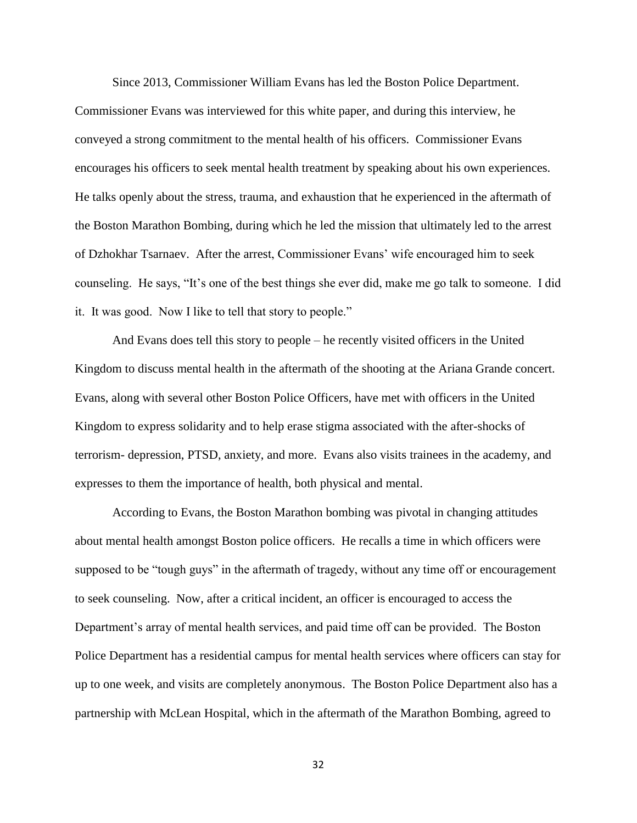Since 2013, Commissioner William Evans has led the Boston Police Department. Commissioner Evans was interviewed for this white paper, and during this interview, he conveyed a strong commitment to the mental health of his officers. Commissioner Evans encourages his officers to seek mental health treatment by speaking about his own experiences. He talks openly about the stress, trauma, and exhaustion that he experienced in the aftermath of the Boston Marathon Bombing, during which he led the mission that ultimately led to the arrest of Dzhokhar Tsarnaev. After the arrest, Commissioner Evans' wife encouraged him to seek counseling. He says, "It's one of the best things she ever did, make me go talk to someone. I did it. It was good. Now I like to tell that story to people."

And Evans does tell this story to people – he recently visited officers in the United Kingdom to discuss mental health in the aftermath of the shooting at the Ariana Grande concert. Evans, along with several other Boston Police Officers, have met with officers in the United Kingdom to express solidarity and to help erase stigma associated with the after-shocks of terrorism- depression, PTSD, anxiety, and more. Evans also visits trainees in the academy, and expresses to them the importance of health, both physical and mental.

According to Evans, the Boston Marathon bombing was pivotal in changing attitudes about mental health amongst Boston police officers. He recalls a time in which officers were supposed to be "tough guys" in the aftermath of tragedy, without any time off or encouragement to seek counseling. Now, after a critical incident, an officer is encouraged to access the Department's array of mental health services, and paid time off can be provided. The Boston Police Department has a residential campus for mental health services where officers can stay for up to one week, and visits are completely anonymous. The Boston Police Department also has a partnership with McLean Hospital, which in the aftermath of the Marathon Bombing, agreed to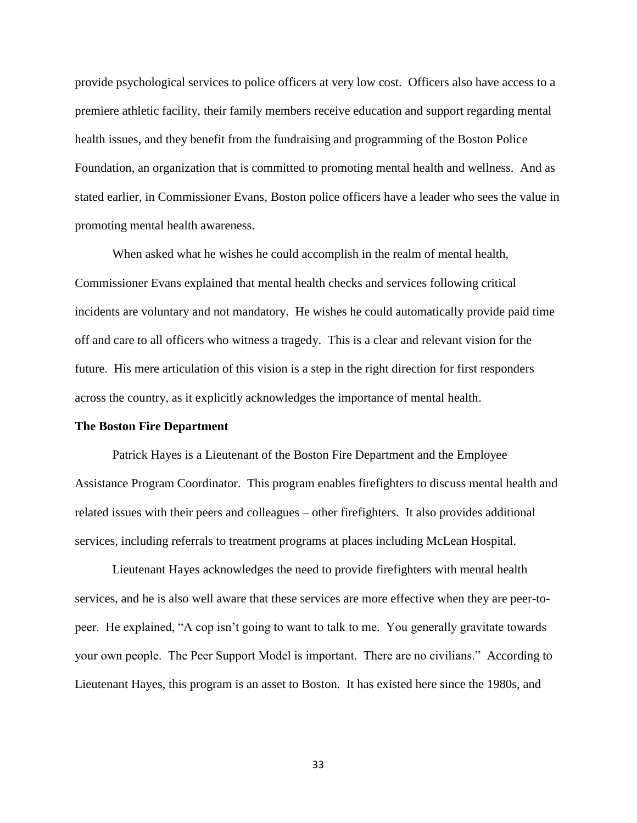provide psychological services to police officers at very low cost. Officers also have access to a premiere athletic facility, their family members receive education and support regarding mental health issues, and they benefit from the fundraising and programming of the Boston Police Foundation, an organization that is committed to promoting mental health and wellness. And as stated earlier, in Commissioner Evans, Boston police officers have a leader who sees the value in promoting mental health awareness.

When asked what he wishes he could accomplish in the realm of mental health, Commissioner Evans explained that mental health checks and services following critical incidents are voluntary and not mandatory. He wishes he could automatically provide paid time off and care to all officers who witness a tragedy. This is a clear and relevant vision for the future. His mere articulation of this vision is a step in the right direction for first responders across the country, as it explicitly acknowledges the importance of mental health.

#### **The Boston Fire Department**

Patrick Hayes is a Lieutenant of the Boston Fire Department and the Employee Assistance Program Coordinator. This program enables firefighters to discuss mental health and related issues with their peers and colleagues – other firefighters. It also provides additional services, including referrals to treatment programs at places including McLean Hospital.

Lieutenant Hayes acknowledges the need to provide firefighters with mental health services, and he is also well aware that these services are more effective when they are peer-topeer. He explained, "A cop isn't going to want to talk to me. You generally gravitate towards your own people. The Peer Support Model is important. There are no civilians." According to Lieutenant Hayes, this program is an asset to Boston. It has existed here since the 1980s, and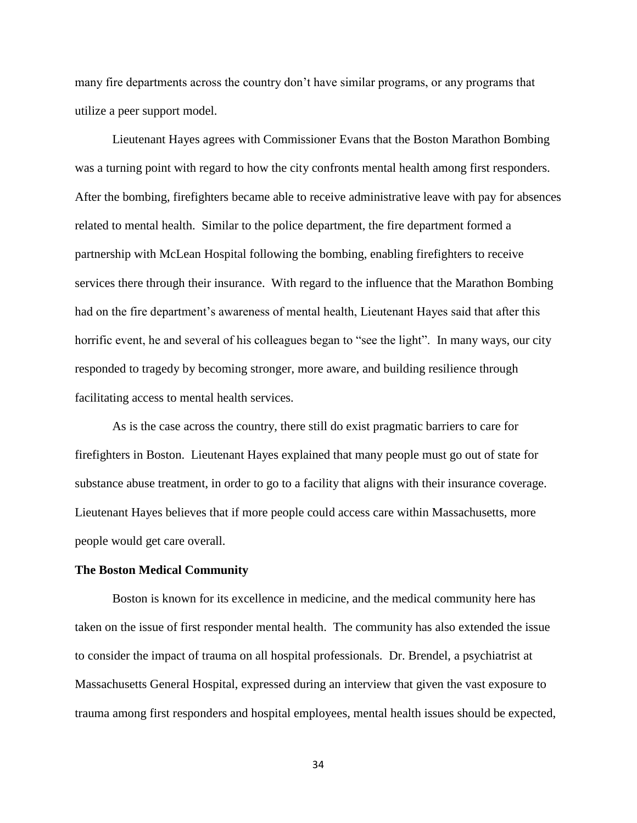many fire departments across the country don't have similar programs, or any programs that utilize a peer support model.

Lieutenant Hayes agrees with Commissioner Evans that the Boston Marathon Bombing was a turning point with regard to how the city confronts mental health among first responders. After the bombing, firefighters became able to receive administrative leave with pay for absences related to mental health. Similar to the police department, the fire department formed a partnership with McLean Hospital following the bombing, enabling firefighters to receive services there through their insurance. With regard to the influence that the Marathon Bombing had on the fire department's awareness of mental health, Lieutenant Hayes said that after this horrific event, he and several of his colleagues began to "see the light". In many ways, our city responded to tragedy by becoming stronger, more aware, and building resilience through facilitating access to mental health services.

As is the case across the country, there still do exist pragmatic barriers to care for firefighters in Boston. Lieutenant Hayes explained that many people must go out of state for substance abuse treatment, in order to go to a facility that aligns with their insurance coverage. Lieutenant Hayes believes that if more people could access care within Massachusetts, more people would get care overall.

#### **The Boston Medical Community**

Boston is known for its excellence in medicine, and the medical community here has taken on the issue of first responder mental health. The community has also extended the issue to consider the impact of trauma on all hospital professionals. Dr. Brendel, a psychiatrist at Massachusetts General Hospital, expressed during an interview that given the vast exposure to trauma among first responders and hospital employees, mental health issues should be expected,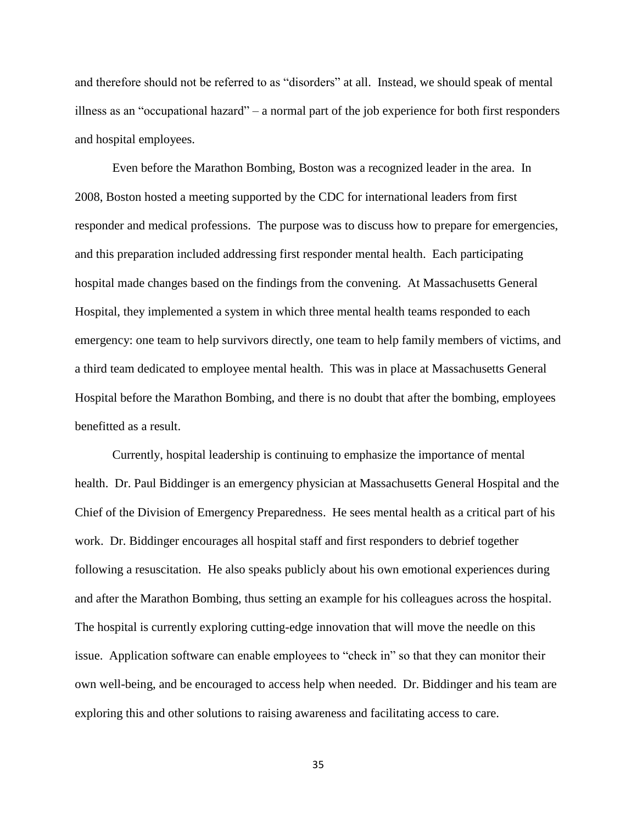and therefore should not be referred to as "disorders" at all. Instead, we should speak of mental illness as an "occupational hazard" – a normal part of the job experience for both first responders and hospital employees.

Even before the Marathon Bombing, Boston was a recognized leader in the area. In 2008, Boston hosted a meeting supported by the CDC for international leaders from first responder and medical professions. The purpose was to discuss how to prepare for emergencies, and this preparation included addressing first responder mental health. Each participating hospital made changes based on the findings from the convening. At Massachusetts General Hospital, they implemented a system in which three mental health teams responded to each emergency: one team to help survivors directly, one team to help family members of victims, and a third team dedicated to employee mental health. This was in place at Massachusetts General Hospital before the Marathon Bombing, and there is no doubt that after the bombing, employees benefitted as a result.

Currently, hospital leadership is continuing to emphasize the importance of mental health. Dr. Paul Biddinger is an emergency physician at Massachusetts General Hospital and the Chief of the Division of Emergency Preparedness. He sees mental health as a critical part of his work. Dr. Biddinger encourages all hospital staff and first responders to debrief together following a resuscitation. He also speaks publicly about his own emotional experiences during and after the Marathon Bombing, thus setting an example for his colleagues across the hospital. The hospital is currently exploring cutting-edge innovation that will move the needle on this issue. Application software can enable employees to "check in" so that they can monitor their own well-being, and be encouraged to access help when needed. Dr. Biddinger and his team are exploring this and other solutions to raising awareness and facilitating access to care.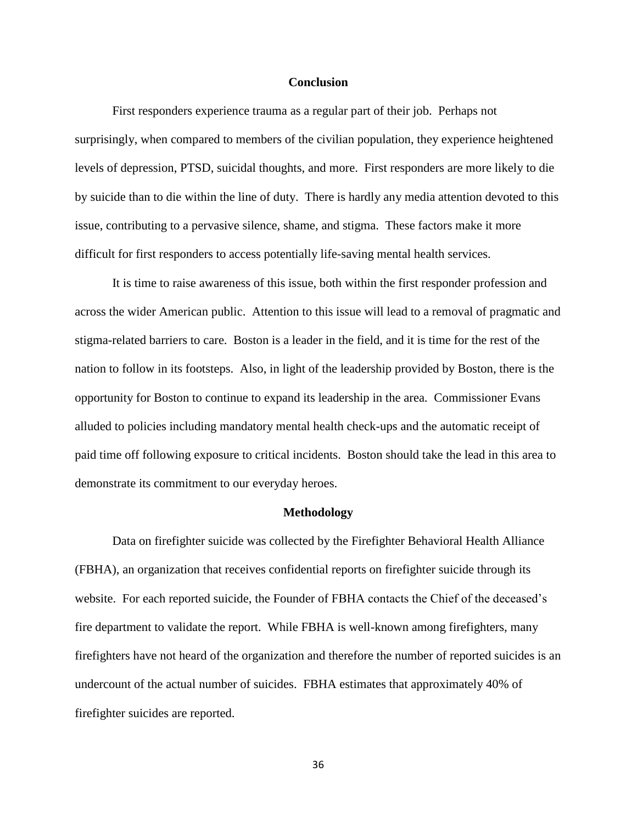### **Conclusion**

First responders experience trauma as a regular part of their job. Perhaps not surprisingly, when compared to members of the civilian population, they experience heightened levels of depression, PTSD, suicidal thoughts, and more. First responders are more likely to die by suicide than to die within the line of duty. There is hardly any media attention devoted to this issue, contributing to a pervasive silence, shame, and stigma. These factors make it more difficult for first responders to access potentially life-saving mental health services.

It is time to raise awareness of this issue, both within the first responder profession and across the wider American public. Attention to this issue will lead to a removal of pragmatic and stigma-related barriers to care. Boston is a leader in the field, and it is time for the rest of the nation to follow in its footsteps. Also, in light of the leadership provided by Boston, there is the opportunity for Boston to continue to expand its leadership in the area. Commissioner Evans alluded to policies including mandatory mental health check-ups and the automatic receipt of paid time off following exposure to critical incidents. Boston should take the lead in this area to demonstrate its commitment to our everyday heroes.

#### **Methodology**

Data on firefighter suicide was collected by the Firefighter Behavioral Health Alliance (FBHA), an organization that receives confidential reports on firefighter suicide through its website. For each reported suicide, the Founder of FBHA contacts the Chief of the deceased's fire department to validate the report. While FBHA is well-known among firefighters, many firefighters have not heard of the organization and therefore the number of reported suicides is an undercount of the actual number of suicides. FBHA estimates that approximately 40% of firefighter suicides are reported.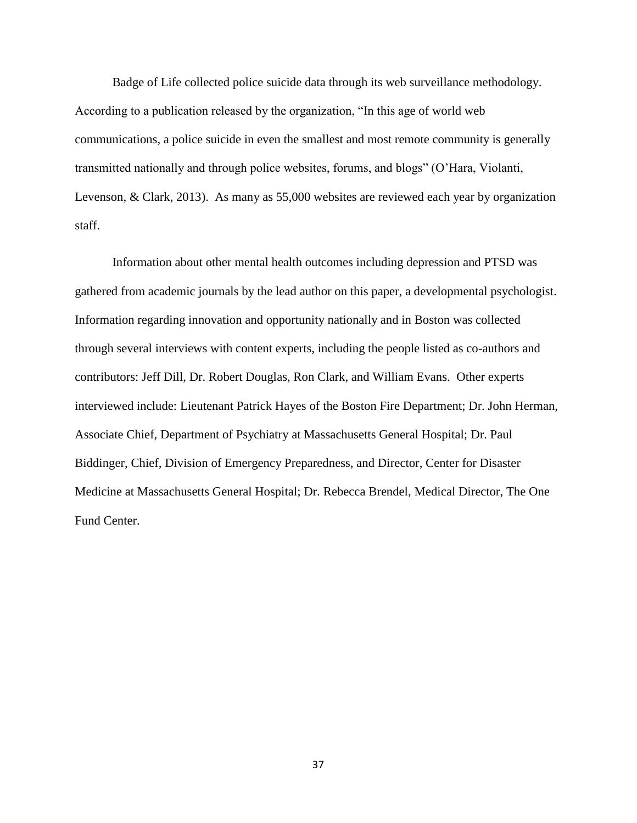Badge of Life collected police suicide data through its web surveillance methodology. According to a publication released by the organization, "In this age of world web communications, a police suicide in even the smallest and most remote community is generally transmitted nationally and through police websites, forums, and blogs" (O'Hara, Violanti, Levenson, & Clark, 2013). As many as 55,000 websites are reviewed each year by organization staff.

Information about other mental health outcomes including depression and PTSD was gathered from academic journals by the lead author on this paper, a developmental psychologist. Information regarding innovation and opportunity nationally and in Boston was collected through several interviews with content experts, including the people listed as co-authors and contributors: Jeff Dill, Dr. Robert Douglas, Ron Clark, and William Evans. Other experts interviewed include: Lieutenant Patrick Hayes of the Boston Fire Department; Dr. John Herman, Associate Chief, Department of Psychiatry at Massachusetts General Hospital; Dr. Paul Biddinger, Chief, Division of Emergency Preparedness, and Director, Center for Disaster Medicine at Massachusetts General Hospital; Dr. Rebecca Brendel, Medical Director, The One Fund Center.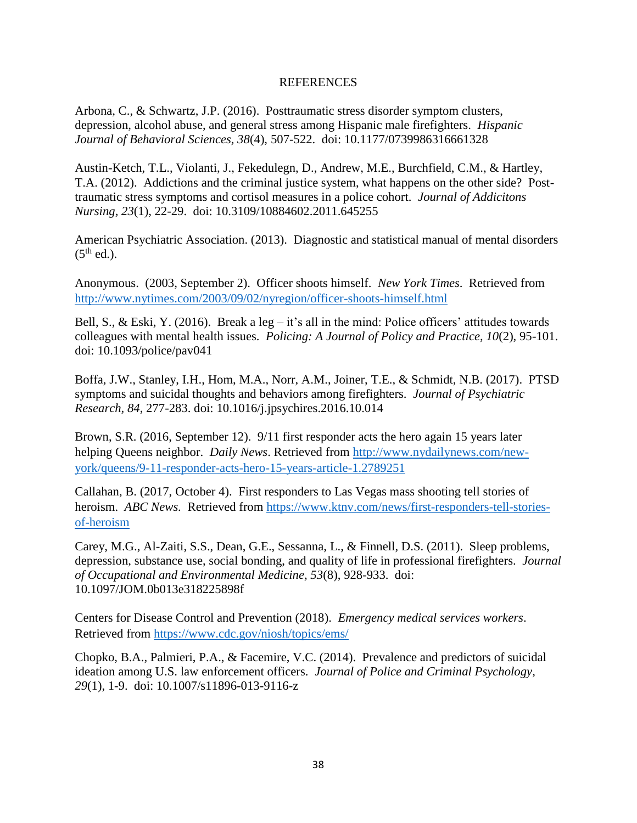## REFERENCES

Arbona, C., & Schwartz, J.P. (2016). Posttraumatic stress disorder symptom clusters, depression, alcohol abuse, and general stress among Hispanic male firefighters. *Hispanic Journal of Behavioral Sciences, 38*(4), 507-522. doi: 10.1177/0739986316661328

Austin-Ketch, T.L., Violanti, J., Fekedulegn, D., Andrew, M.E., Burchfield, C.M., & Hartley, T.A. (2012). Addictions and the criminal justice system, what happens on the other side? Posttraumatic stress symptoms and cortisol measures in a police cohort. *Journal of Addicitons Nursing, 23*(1), 22-29. doi: 10.3109/10884602.2011.645255

American Psychiatric Association. (2013). Diagnostic and statistical manual of mental disorders  $(5^{th}$  ed.).

Anonymous. (2003, September 2). Officer shoots himself. *New York Times*. Retrieved from <http://www.nytimes.com/2003/09/02/nyregion/officer-shoots-himself.html>

Bell, S., & Eski, Y. (2016). Break a leg – it's all in the mind: Police officers' attitudes towards colleagues with mental health issues. *Policing: A Journal of Policy and Practice, 10*(2), 95-101. doi: 10.1093/police/pav041

Boffa, J.W., Stanley, I.H., Hom, M.A., Norr, A.M., Joiner, T.E., & Schmidt, N.B. (2017). PTSD symptoms and suicidal thoughts and behaviors among firefighters. *Journal of Psychiatric Research, 84*, 277-283. doi: 10.1016/j.jpsychires.2016.10.014

Brown, S.R. (2016, September 12). 9/11 first responder acts the hero again 15 years later helping Queens neighbor. *Daily News*. Retrieved from [http://www.nydailynews.com/new](http://www.nydailynews.com/new-york/queens/9-11-responder-acts-hero-15-years-article-1.2789251)[york/queens/9-11-responder-acts-hero-15-years-article-1.2789251](http://www.nydailynews.com/new-york/queens/9-11-responder-acts-hero-15-years-article-1.2789251)

Callahan, B. (2017, October 4). First responders to Las Vegas mass shooting tell stories of heroism. *ABC News.* Retrieved from [https://www.ktnv.com/news/first-responders-tell-stories](https://www.ktnv.com/news/first-responders-tell-stories-of-heroism)[of-heroism](https://www.ktnv.com/news/first-responders-tell-stories-of-heroism)

Carey, M.G., Al-Zaiti, S.S., Dean, G.E., Sessanna, L., & Finnell, D.S. (2011). Sleep problems, depression, substance use, social bonding, and quality of life in professional firefighters. *Journal of Occupational and Environmental Medicine, 53*(8), 928-933. doi: 10.1097/JOM.0b013e318225898f

Centers for Disease Control and Prevention (2018). *Emergency medical services workers*. Retrieved from<https://www.cdc.gov/niosh/topics/ems/>

Chopko, B.A., Palmieri, P.A., & Facemire, V.C. (2014). Prevalence and predictors of suicidal ideation among U.S. law enforcement officers. *Journal of Police and Criminal Psychology, 29*(1), 1-9. doi: 10.1007/s11896-013-9116-z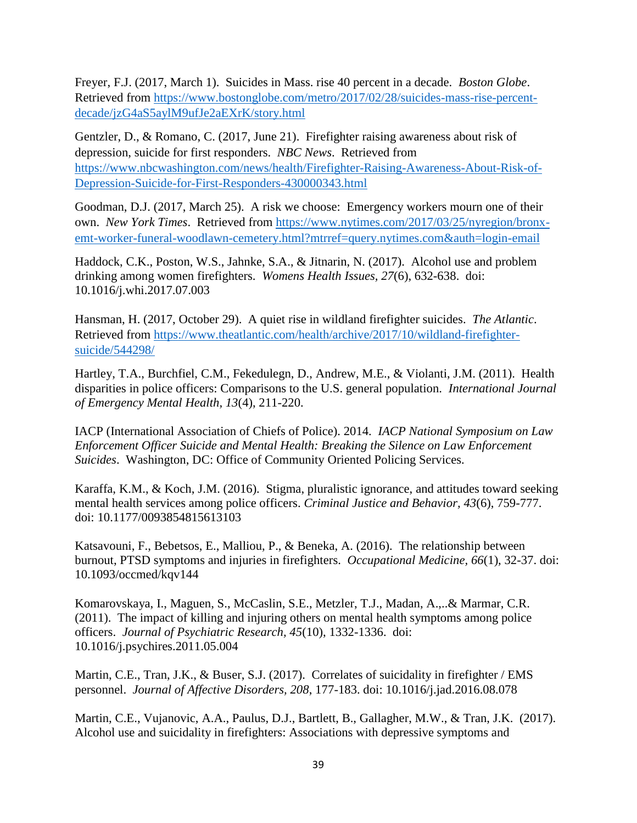Freyer, F.J. (2017, March 1). Suicides in Mass. rise 40 percent in a decade. *Boston Globe*. Retrieved from [https://www.bostonglobe.com/metro/2017/02/28/suicides-mass-rise-percent](https://www.bostonglobe.com/metro/2017/02/28/suicides-mass-rise-percent-decade/jzG4aS5aylM9ufJe2aEXrK/story.html)[decade/jzG4aS5aylM9ufJe2aEXrK/story.html](https://www.bostonglobe.com/metro/2017/02/28/suicides-mass-rise-percent-decade/jzG4aS5aylM9ufJe2aEXrK/story.html)

Gentzler, D., & Romano, C. (2017, June 21). Firefighter raising awareness about risk of depression, suicide for first responders. *NBC News*. Retrieved from [https://www.nbcwashington.com/news/health/Firefighter-Raising-Awareness-About-Risk-of-](https://www.nbcwashington.com/news/health/Firefighter-Raising-Awareness-About-Risk-of-Depression-Suicide-for-First-Responders-430000343.html)[Depression-Suicide-for-First-Responders-430000343.html](https://www.nbcwashington.com/news/health/Firefighter-Raising-Awareness-About-Risk-of-Depression-Suicide-for-First-Responders-430000343.html)

Goodman, D.J. (2017, March 25). A risk we choose: Emergency workers mourn one of their own. *New York Times*. Retrieved from [https://www.nytimes.com/2017/03/25/nyregion/bronx](https://www.nytimes.com/2017/03/25/nyregion/bronx-emt-worker-funeral-woodlawn-cemetery.html?mtrref=query.nytimes.com&auth=login-email)[emt-worker-funeral-woodlawn-cemetery.html?mtrref=query.nytimes.com&auth=login-email](https://www.nytimes.com/2017/03/25/nyregion/bronx-emt-worker-funeral-woodlawn-cemetery.html?mtrref=query.nytimes.com&auth=login-email)

Haddock, C.K., Poston, W.S., Jahnke, S.A., & Jitnarin, N. (2017). Alcohol use and problem drinking among women firefighters. *Womens Health Issues, 27*(6), 632-638. doi: 10.1016/j.whi.2017.07.003

Hansman, H. (2017, October 29). A quiet rise in wildland firefighter suicides. *The Atlantic*. Retrieved from [https://www.theatlantic.com/health/archive/2017/10/wildland-firefighter](https://www.theatlantic.com/health/archive/2017/10/wildland-firefighter-suicide/544298/)[suicide/544298/](https://www.theatlantic.com/health/archive/2017/10/wildland-firefighter-suicide/544298/)

Hartley, T.A., Burchfiel, C.M., Fekedulegn, D., Andrew, M.E., & Violanti, J.M. (2011). Health disparities in police officers: Comparisons to the U.S. general population. *International Journal of Emergency Mental Health, 13*(4), 211-220.

IACP (International Association of Chiefs of Police). 2014. *IACP National Symposium on Law Enforcement Officer Suicide and Mental Health: Breaking the Silence on Law Enforcement Suicides*. Washington, DC: Office of Community Oriented Policing Services.

Karaffa, K.M., & Koch, J.M. (2016). Stigma, pluralistic ignorance, and attitudes toward seeking mental health services among police officers. *Criminal Justice and Behavior, 43*(6), 759-777. doi: 10.1177/0093854815613103

Katsavouni, F., Bebetsos, E., Malliou, P., & Beneka, A. (2016). The relationship between burnout, PTSD symptoms and injuries in firefighters. *Occupational Medicine, 66*(1), 32-37. doi: 10.1093/occmed/kqv144

Komarovskaya, I., Maguen, S., McCaslin, S.E., Metzler, T.J., Madan, A.,..& Marmar, C.R. (2011). The impact of killing and injuring others on mental health symptoms among police officers. *Journal of Psychiatric Research, 45*(10), 1332-1336. doi: 10.1016/j.psychires.2011.05.004

Martin, C.E., Tran, J.K., & Buser, S.J. (2017). Correlates of suicidality in firefighter / EMS personnel. *Journal of Affective Disorders, 208*, 177-183. doi: 10.1016/j.jad.2016.08.078

Martin, C.E., Vujanovic, A.A., Paulus, D.J., Bartlett, B., Gallagher, M.W., & Tran, J.K. (2017). Alcohol use and suicidality in firefighters: Associations with depressive symptoms and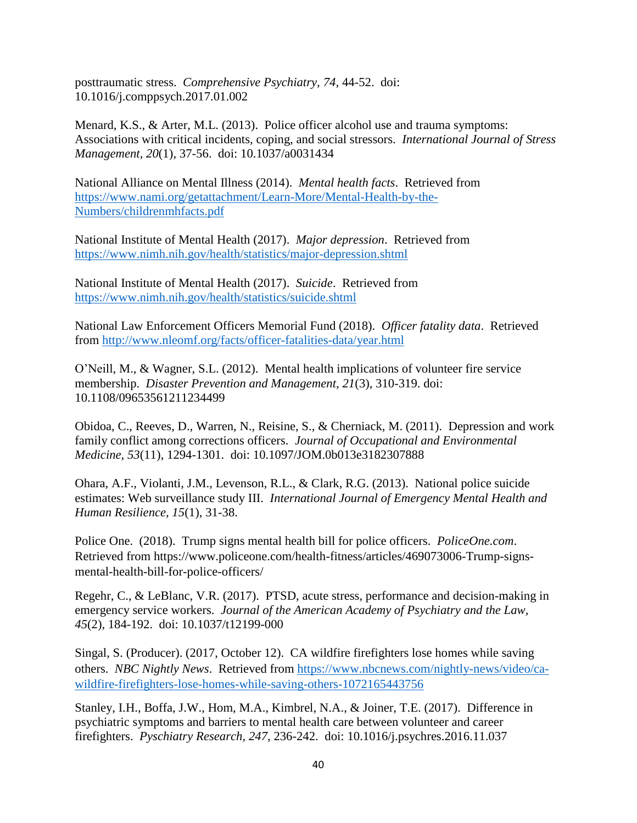posttraumatic stress. *Comprehensive Psychiatry, 74*, 44-52. doi: 10.1016/j.comppsych.2017.01.002

Menard, K.S., & Arter, M.L. (2013). Police officer alcohol use and trauma symptoms: Associations with critical incidents, coping, and social stressors. *International Journal of Stress Management, 20*(1), 37-56. doi: 10.1037/a0031434

National Alliance on Mental Illness (2014). *Mental health facts*. Retrieved from [https://www.nami.org/getattachment/Learn-More/Mental-Health-by-the-](https://www.nami.org/getattachment/Learn-More/Mental-Health-by-the-Numbers/childrenmhfacts.pdf)[Numbers/childrenmhfacts.pdf](https://www.nami.org/getattachment/Learn-More/Mental-Health-by-the-Numbers/childrenmhfacts.pdf)

National Institute of Mental Health (2017). *Major depression*. Retrieved from <https://www.nimh.nih.gov/health/statistics/major-depression.shtml>

National Institute of Mental Health (2017). *Suicide*. Retrieved from <https://www.nimh.nih.gov/health/statistics/suicide.shtml>

National Law Enforcement Officers Memorial Fund (2018). *Officer fatality data*. Retrieved from<http://www.nleomf.org/facts/officer-fatalities-data/year.html>

O'Neill, M., & Wagner, S.L. (2012). Mental health implications of volunteer fire service membership. *Disaster Prevention and Management, 21*(3), 310-319. doi: 10.1108/09653561211234499

Obidoa, C., Reeves, D., Warren, N., Reisine, S., & Cherniack, M. (2011). Depression and work family conflict among corrections officers. *Journal of Occupational and Environmental Medicine, 53*(11), 1294-1301. doi: 10.1097/JOM.0b013e3182307888

Ohara, A.F., Violanti, J.M., Levenson, R.L., & Clark, R.G. (2013). National police suicide estimates: Web surveillance study III. *International Journal of Emergency Mental Health and Human Resilience, 15*(1), 31-38.

Police One. (2018). Trump signs mental health bill for police officers. *PoliceOne.com*. Retrieved from https://www.policeone.com/health-fitness/articles/469073006-Trump-signsmental-health-bill-for-police-officers/

Regehr, C., & LeBlanc, V.R. (2017). PTSD, acute stress, performance and decision-making in emergency service workers. *Journal of the American Academy of Psychiatry and the Law, 45*(2), 184-192. doi: 10.1037/t12199-000

Singal, S. (Producer). (2017, October 12). CA wildfire firefighters lose homes while saving others. *NBC Nightly News*. Retrieved from [https://www.nbcnews.com/nightly-news/video/ca](https://www.nbcnews.com/nightly-news/video/ca-wildfire-firefighters-lose-homes-while-saving-others-1072165443756)[wildfire-firefighters-lose-homes-while-saving-others-1072165443756](https://www.nbcnews.com/nightly-news/video/ca-wildfire-firefighters-lose-homes-while-saving-others-1072165443756)

Stanley, I.H., Boffa, J.W., Hom, M.A., Kimbrel, N.A., & Joiner, T.E. (2017). Difference in psychiatric symptoms and barriers to mental health care between volunteer and career firefighters. *Pyschiatry Research, 247*, 236-242. doi: 10.1016/j.psychres.2016.11.037